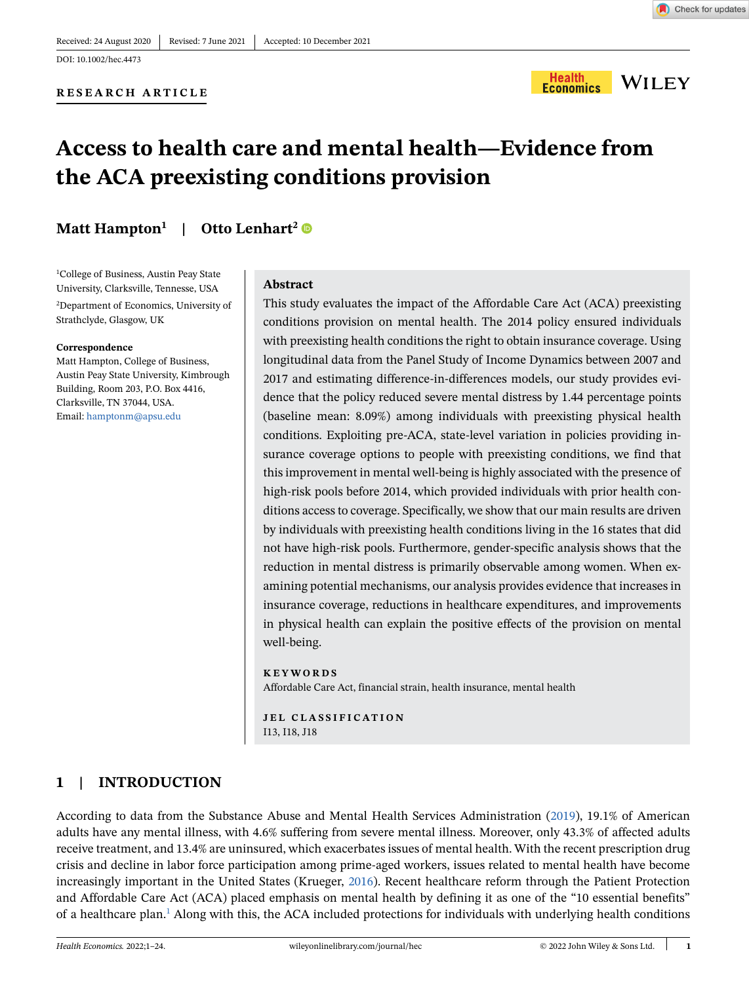## DOI: 10.1002/hec.4473



# **Access to health care and mental health—Evidence from the ACA preexisting conditions provision**

# **Matt Hampton<sup>1</sup> | Otto Lenhart<sup>2</sup>**

1 College of Business, Austin Peay State University, Clarksville, Tennesse, USA 2 Department of Economics, University of Strathclyde, Glasgow, UK

#### **Correspondence**

Matt Hampton, College of Business, Austin Peay State University, Kimbrough Building, Room 203, P.O. Box 4416, Clarksville, TN 37044, USA. Email: hamptonm@apsu.edu

### **Abstract**

This study evaluates the impact of the Affordable Care Act (ACA) preexisting conditions provision on mental health. The 2014 policy ensured individuals with preexisting health conditions the right to obtain insurance coverage. Using longitudinal data from the Panel Study of Income Dynamics between 2007 and 2017 and estimating difference-in-differences models, our study provides evidence that the policy reduced severe mental distress by 1.44 percentage points (baseline mean: 8.09%) among individuals with preexisting physical health conditions. Exploiting pre-ACA, state-level variation in policies providing insurance coverage options to people with preexisting conditions, we find that this improvement in mental well-being is highly associated with the presence of high-risk pools before 2014, which provided individuals with prior health conditions access to coverage. Specifically, we show that our main results are driven by individuals with preexisting health conditions living in the 16 states that did not have high-risk pools. Furthermore, gender-specific analysis shows that the reduction in mental distress is primarily observable among women. When examining potential mechanisms, our analysis provides evidence that increases in insurance coverage, reductions in healthcare expenditures, and improvements in physical health can explain the positive effects of the provision on mental well-being.

#### **KEYWORDS**

Affordable Care Act, financial strain, health insurance, mental health

**JEL CLASSIFICATION** I13, I18, J18

# **1 | INTRODUCTION**

According to data from the Substance Abuse and Mental Health Services Administration ([2019\)](#page-18-0), 19.1% of American adults have any mental illness, with 4.6% suffering from severe mental illness. Moreover, only 43.3% of affected adults receive treatment, and 13.4% are uninsured, which exacerbates issues of mental health. With the recent prescription drug crisis and decline in labor force participation among prime-aged workers, issues related to mental health have become increasingly important in the United States (Krueger, [2016\)](#page-18-1). Recent healthcare reform through the Patient Protection and Affordable Care Act (ACA) placed emphasis on mental health by defining it as one of the "10 essential benefits" of a healthcare plan.<sup>1</sup> Along with this, the ACA included protections for individuals with underlying health conditions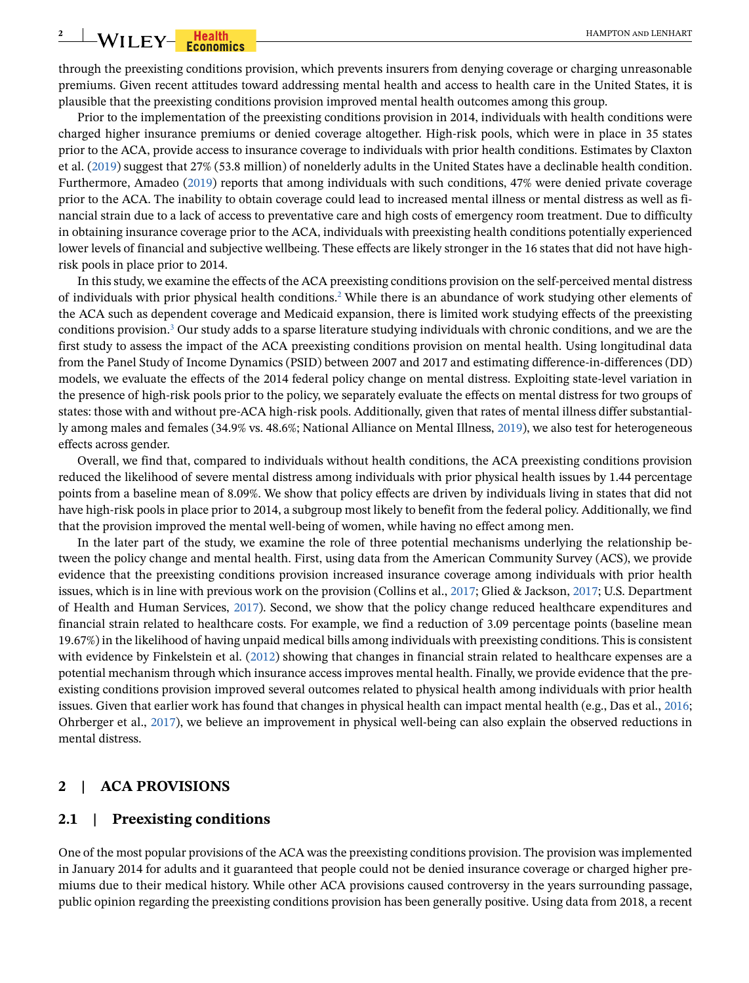# **2** WILEY-**Fiealth Expression Constructs** HAMPTON AND LENHART

through the preexisting conditions provision, which prevents insurers from denying coverage or charging unreasonable premiums. Given recent attitudes toward addressing mental health and access to health care in the United States, it is plausible that the preexisting conditions provision improved mental health outcomes among this group.

Prior to the implementation of the preexisting conditions provision in 2014, individuals with health conditions were charged higher insurance premiums or denied coverage altogether. High-risk pools, which were in place in 35 states prior to the ACA, provide access to insurance coverage to individuals with prior health conditions. Estimates by Claxton et al. ([2019\)](#page-17-0) suggest that 27% (53.8 million) of nonelderly adults in the United States have a declinable health condition. Furthermore, Amadeo [\(2019\)](#page-17-1) reports that among individuals with such conditions, 47% were denied private coverage prior to the ACA. The inability to obtain coverage could lead to increased mental illness or mental distress as well as financial strain due to a lack of access to preventative care and high costs of emergency room treatment. Due to difficulty in obtaining insurance coverage prior to the ACA, individuals with preexisting health conditions potentially experienced lower levels of financial and subjective wellbeing. These effects are likely stronger in the 16 states that did not have highrisk pools in place prior to 2014.

In this study, we examine the effects of the ACA preexisting conditions provision on the self-perceived mental distress of individuals with prior physical health conditions.<sup>2</sup> While there is an abundance of work studying other elements of the ACA such as dependent coverage and Medicaid expansion, there is limited work studying effects of the preexisting conditions provision.<sup>3</sup> Our study adds to a sparse literature studying individuals with chronic conditions, and we are the first study to assess the impact of the ACA preexisting conditions provision on mental health. Using longitudinal data from the Panel Study of Income Dynamics (PSID) between 2007 and 2017 and estimating difference-in-differences (DD) models, we evaluate the effects of the 2014 federal policy change on mental distress. Exploiting state-level variation in the presence of high-risk pools prior to the policy, we separately evaluate the effects on mental distress for two groups of states: those with and without pre-ACA high-risk pools. Additionally, given that rates of mental illness differ substantially among males and females (34.9% vs. 48.6%; National Alliance on Mental Illness, [2019](#page-18-2)), we also test for heterogeneous effects across gender.

Overall, we find that, compared to individuals without health conditions, the ACA preexisting conditions provision reduced the likelihood of severe mental distress among individuals with prior physical health issues by 1.44 percentage points from a baseline mean of 8.09%. We show that policy effects are driven by individuals living in states that did not have high-risk pools in place prior to 2014, a subgroup most likely to benefit from the federal policy. Additionally, we find that the provision improved the mental well-being of women, while having no effect among men.

In the later part of the study, we examine the role of three potential mechanisms underlying the relationship between the policy change and mental health. First, using data from the American Community Survey (ACS), we provide evidence that the preexisting conditions provision increased insurance coverage among individuals with prior health issues, which is in line with previous work on the provision (Collins et al., [2017](#page-17-2); Glied & Jackson, [2017;](#page-17-3) U.S. Department of Health and Human Services, [2017\)](#page-18-3). Second, we show that the policy change reduced healthcare expenditures and financial strain related to healthcare costs. For example, we find a reduction of 3.09 percentage points (baseline mean 19.67%) in the likelihood of having unpaid medical bills among individuals with preexisting conditions. This is consistent with evidence by Finkelstein et al. [\(2012\)](#page-17-4) showing that changes in financial strain related to healthcare expenses are a potential mechanism through which insurance access improves mental health. Finally, we provide evidence that the preexisting conditions provision improved several outcomes related to physical health among individuals with prior health issues. Given that earlier work has found that changes in physical health can impact mental health (e.g., Das et al., [2016](#page-17-5); Ohrberger et al., [2017\)](#page-18-4), we believe an improvement in physical well-being can also explain the observed reductions in mental distress.

# **2 | ACA PROVISIONS**

#### **2.1 | Preexisting conditions**

One of the most popular provisions of the ACA was the preexisting conditions provision. The provision was implemented in January 2014 for adults and it guaranteed that people could not be denied insurance coverage or charged higher premiums due to their medical history. While other ACA provisions caused controversy in the years surrounding passage, public opinion regarding the preexisting conditions provision has been generally positive. Using data from 2018, a recent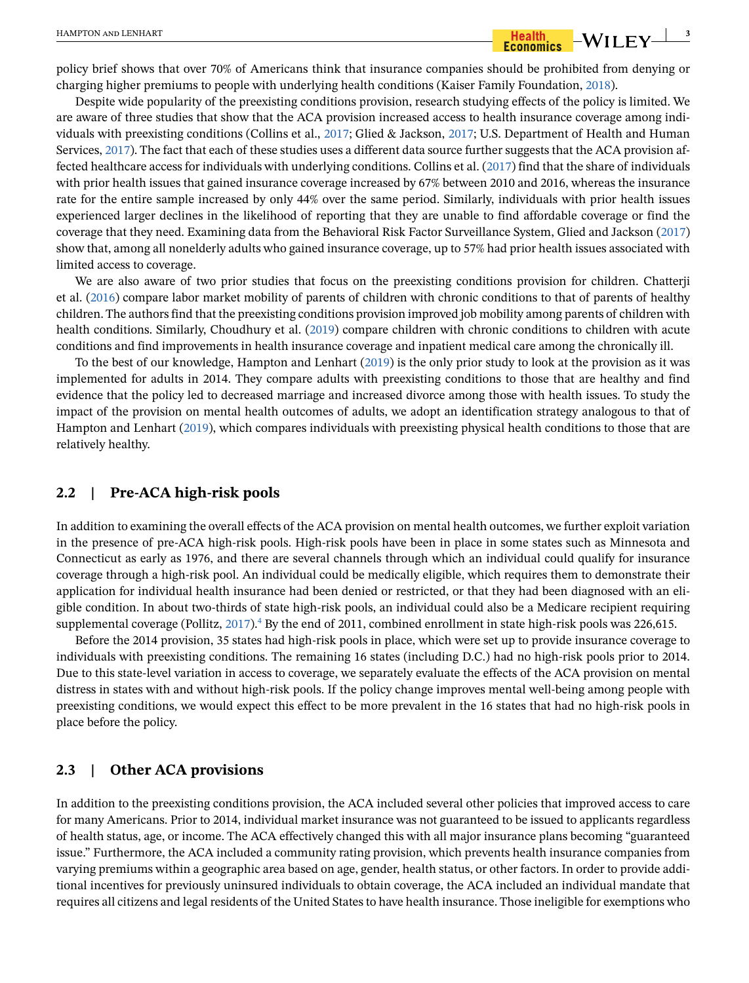# HAMPTON and LENHART **3**

policy brief shows that over 70% of Americans think that insurance companies should be prohibited from denying or charging higher premiums to people with underlying health conditions (Kaiser Family Foundation, [2018\)](#page-18-5).

Despite wide popularity of the preexisting conditions provision, research studying effects of the policy is limited. We are aware of three studies that show that the ACA provision increased access to health insurance coverage among individuals with preexisting conditions (Collins et al., [2017;](#page-17-2) Glied & Jackson, [2017](#page-17-3); U.S. Department of Health and Human Services, [2017](#page-18-3)). The fact that each of these studies uses a different data source further suggests that the ACA provision affected healthcare access for individuals with underlying conditions. Collins et al. ([2017\)](#page-17-2) find that the share of individuals with prior health issues that gained insurance coverage increased by 67% between 2010 and 2016, whereas the insurance rate for the entire sample increased by only 44% over the same period. Similarly, individuals with prior health issues experienced larger declines in the likelihood of reporting that they are unable to find affordable coverage or find the coverage that they need. Examining data from the Behavioral Risk Factor Surveillance System, Glied and Jackson ([2017](#page-17-3)) show that, among all nonelderly adults who gained insurance coverage, up to 57% had prior health issues associated with limited access to coverage.

We are also aware of two prior studies that focus on the preexisting conditions provision for children. Chatterji et al. ([2016\)](#page-17-6) compare labor market mobility of parents of children with chronic conditions to that of parents of healthy children. The authors find that the preexisting conditions provision improved job mobility among parents of children with health conditions. Similarly, Choudhury et al. [\(2019\)](#page-17-7) compare children with chronic conditions to children with acute conditions and find improvements in health insurance coverage and inpatient medical care among the chronically ill.

To the best of our knowledge, Hampton and Lenhart [\(2019\)](#page-17-8) is the only prior study to look at the provision as it was implemented for adults in 2014. They compare adults with preexisting conditions to those that are healthy and find evidence that the policy led to decreased marriage and increased divorce among those with health issues. To study the impact of the provision on mental health outcomes of adults, we adopt an identification strategy analogous to that of Hampton and Lenhart [\(2019\)](#page-17-8), which compares individuals with preexisting physical health conditions to those that are relatively healthy.

# **2.2 | Pre-ACA high-risk pools**

In addition to examining the overall effects of the ACA provision on mental health outcomes, we further exploit variation in the presence of pre-ACA high-risk pools. High-risk pools have been in place in some states such as Minnesota and Connecticut as early as 1976, and there are several channels through which an individual could qualify for insurance coverage through a high-risk pool. An individual could be medically eligible, which requires them to demonstrate their application for individual health insurance had been denied or restricted, or that they had been diagnosed with an eligible condition. In about two-thirds of state high-risk pools, an individual could also be a Medicare recipient requiring supplemental coverage (Pollitz, [2017](#page-18-6)). $^4$  $^4$  By the end of 2011, combined enrollment in state high-risk pools was 226,615.

Before the 2014 provision, 35 states had high-risk pools in place, which were set up to provide insurance coverage to individuals with preexisting conditions. The remaining 16 states (including D.C.) had no high-risk pools prior to 2014. Due to this state-level variation in access to coverage, we separately evaluate the effects of the ACA provision on mental distress in states with and without high-risk pools. If the policy change improves mental well-being among people with preexisting conditions, we would expect this effect to be more prevalent in the 16 states that had no high-risk pools in place before the policy.

### **2.3 | Other ACA provisions**

In addition to the preexisting conditions provision, the ACA included several other policies that improved access to care for many Americans. Prior to 2014, individual market insurance was not guaranteed to be issued to applicants regardless of health status, age, or income. The ACA effectively changed this with all major insurance plans becoming "guaranteed issue." Furthermore, the ACA included a community rating provision, which prevents health insurance companies from varying premiums within a geographic area based on age, gender, health status, or other factors. In order to provide additional incentives for previously uninsured individuals to obtain coverage, the ACA included an individual mandate that requires all citizens and legal residents of the United States to have health insurance. Those ineligible for exemptions who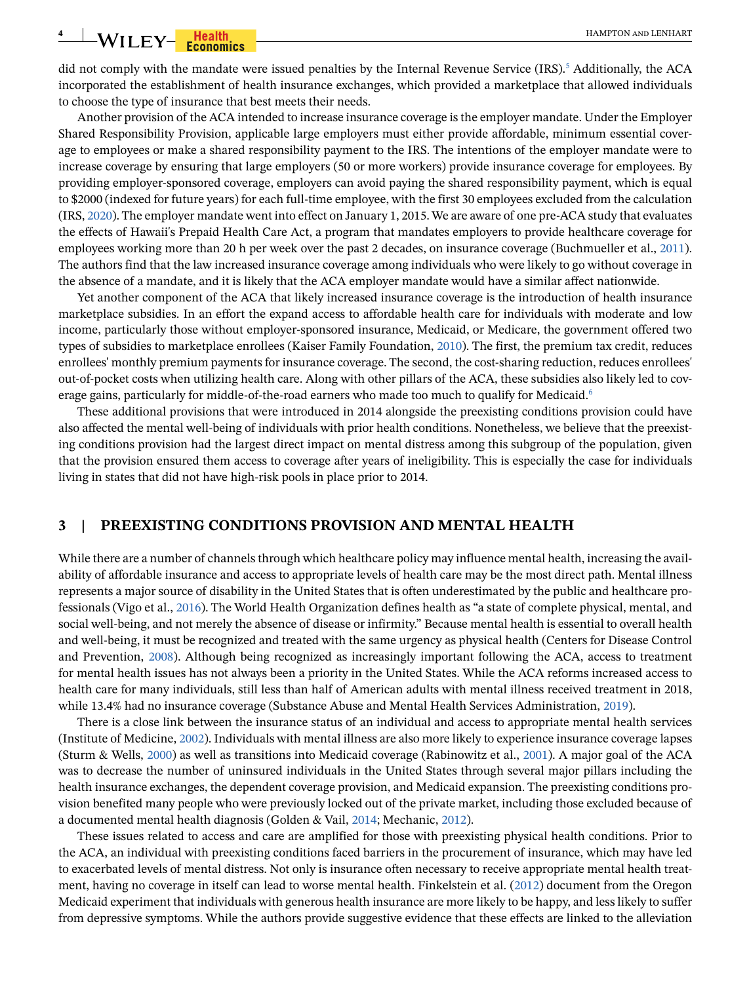# **4**  $\blacksquare$  **WILEY From the set of the conduct of the conduct of the conduct of the conduct of the conduct of the conduct of the conduct of the conduct of the conduct of the conduct of the conduct of the conduct of the co**

did not comply with the mandate were issued penalties by the Internal Revenue Service (IRS).<sup>[5](#page-16-4)</sup> Additionally, the ACA incorporated the establishment of health insurance exchanges, which provided a marketplace that allowed individuals to choose the type of insurance that best meets their needs.

Another provision of the ACA intended to increase insurance coverage is the employer mandate. Under the Employer Shared Responsibility Provision, applicable large employers must either provide affordable, minimum essential coverage to employees or make a shared responsibility payment to the IRS. The intentions of the employer mandate were to increase coverage by ensuring that large employers (50 or more workers) provide insurance coverage for employees. By providing employer-sponsored coverage, employers can avoid paying the shared responsibility payment, which is equal to \$2000 (indexed for future years) for each full-time employee, with the first 30 employees excluded from the calculation (IRS, [2020](#page-18-7)). The employer mandate went into effect on January 1, 2015. We are aware of one pre-ACA study that evaluates the effects of Hawaii's Prepaid Health Care Act, a program that mandates employers to provide healthcare coverage for employees working more than 20 h per week over the past 2 decades, on insurance coverage (Buchmueller et al., [2011\)](#page-17-9). The authors find that the law increased insurance coverage among individuals who were likely to go without coverage in the absence of a mandate, and it is likely that the ACA employer mandate would have a similar affect nationwide.

Yet another component of the ACA that likely increased insurance coverage is the introduction of health insurance marketplace subsidies. In an effort the expand access to affordable health care for individuals with moderate and low income, particularly those without employer-sponsored insurance, Medicaid, or Medicare, the government offered two types of subsidies to marketplace enrollees (Kaiser Family Foundation, [2010](#page-18-8)). The first, the premium tax credit, reduces enrollees' monthly premium payments for insurance coverage. The second, the cost-sharing reduction, reduces enrollees' out-of-pocket costs when utilizing health care. Along with other pillars of the ACA, these subsidies also likely led to cov-erage gains, particularly for middle-of-the-road earners who made too much to qualify for Medicaid.<sup>[6](#page-16-5)</sup>

These additional provisions that were introduced in 2014 alongside the preexisting conditions provision could have also affected the mental well-being of individuals with prior health conditions. Nonetheless, we believe that the preexisting conditions provision had the largest direct impact on mental distress among this subgroup of the population, given that the provision ensured them access to coverage after years of ineligibility. This is especially the case for individuals living in states that did not have high-risk pools in place prior to 2014.

#### **3 | PREEXISTING CONDITIONS PROVISION AND MENTAL HEALTH**

While there are a number of channels through which healthcare policy may influence mental health, increasing the availability of affordable insurance and access to appropriate levels of health care may be the most direct path. Mental illness represents a major source of disability in the United States that is often underestimated by the public and healthcare professionals (Vigo et al., [2016\)](#page-18-9). The World Health Organization defines health as "a state of complete physical, mental, and social well-being, and not merely the absence of disease or infirmity." Because mental health is essential to overall health and well-being, it must be recognized and treated with the same urgency as physical health (Centers for Disease Control and Prevention, [2008\)](#page-17-10). Although being recognized as increasingly important following the ACA, access to treatment for mental health issues has not always been a priority in the United States. While the ACA reforms increased access to health care for many individuals, still less than half of American adults with mental illness received treatment in 2018, while 13.4% had no insurance coverage (Substance Abuse and Mental Health Services Administration, [2019\)](#page-18-0).

There is a close link between the insurance status of an individual and access to appropriate mental health services (Institute of Medicine, [2002](#page-18-10)). Individuals with mental illness are also more likely to experience insurance coverage lapses (Sturm & Wells, [2000\)](#page-18-11) as well as transitions into Medicaid coverage (Rabinowitz et al., [2001\)](#page-18-12). A major goal of the ACA was to decrease the number of uninsured individuals in the United States through several major pillars including the health insurance exchanges, the dependent coverage provision, and Medicaid expansion. The preexisting conditions provision benefited many people who were previously locked out of the private market, including those excluded because of a documented mental health diagnosis (Golden & Vail, [2014;](#page-17-11) Mechanic, [2012](#page-18-13)).

These issues related to access and care are amplified for those with preexisting physical health conditions. Prior to the ACA, an individual with preexisting conditions faced barriers in the procurement of insurance, which may have led to exacerbated levels of mental distress. Not only is insurance often necessary to receive appropriate mental health treatment, having no coverage in itself can lead to worse mental health. Finkelstein et al. ([2012\)](#page-17-4) document from the Oregon Medicaid experiment that individuals with generous health insurance are more likely to be happy, and less likely to suffer from depressive symptoms. While the authors provide suggestive evidence that these effects are linked to the alleviation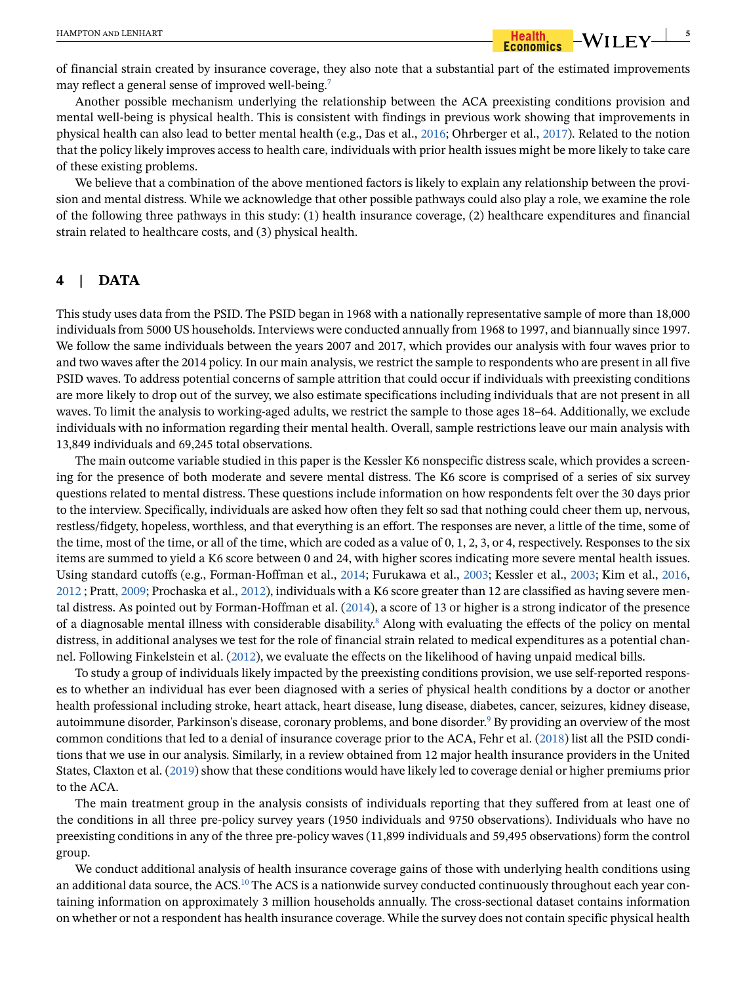of financial strain created by insurance coverage, they also note that a substantial part of the estimated improvements may reflect a general sense of improved well-being[.7](#page-16-6)

Another possible mechanism underlying the relationship between the ACA preexisting conditions provision and mental well-being is physical health. This is consistent with findings in previous work showing that improvements in physical health can also lead to better mental health (e.g., Das et al., [2016](#page-17-5); Ohrberger et al., [2017](#page-18-4)). Related to the notion that the policy likely improves access to health care, individuals with prior health issues might be more likely to take care of these existing problems.

We believe that a combination of the above mentioned factors is likely to explain any relationship between the provision and mental distress. While we acknowledge that other possible pathways could also play a role, we examine the role of the following three pathways in this study: (1) health insurance coverage, (2) healthcare expenditures and financial strain related to healthcare costs, and (3) physical health.

## **4 | DATA**

This study uses data from the PSID. The PSID began in 1968 with a nationally representative sample of more than 18,000 individuals from 5000 US households. Interviews were conducted annually from 1968 to 1997, and biannually since 1997. We follow the same individuals between the years 2007 and 2017, which provides our analysis with four waves prior to and two waves after the 2014 policy. In our main analysis, we restrict the sample to respondents who are present in all five PSID waves. To address potential concerns of sample attrition that could occur if individuals with preexisting conditions are more likely to drop out of the survey, we also estimate specifications including individuals that are not present in all waves. To limit the analysis to working-aged adults, we restrict the sample to those ages 18–64. Additionally, we exclude individuals with no information regarding their mental health. Overall, sample restrictions leave our main analysis with 13,849 individuals and 69,245 total observations.

The main outcome variable studied in this paper is the Kessler K6 nonspecific distress scale, which provides a screening for the presence of both moderate and severe mental distress. The K6 score is comprised of a series of six survey questions related to mental distress. These questions include information on how respondents felt over the 30 days prior to the interview. Specifically, individuals are asked how often they felt so sad that nothing could cheer them up, nervous, restless/fidgety, hopeless, worthless, and that everything is an effort. The responses are never, a little of the time, some of the time, most of the time, or all of the time, which are coded as a value of 0, 1, 2, 3, or 4, respectively. Responses to the six items are summed to yield a K6 score between 0 and 24, with higher scores indicating more severe mental health issues. Using standard cutoffs (e.g., Forman-Hoffman et al., [2014;](#page-17-12) Furukawa et al., [2003](#page-17-13); Kessler et al., [2003](#page-18-14); Kim et al., [2016](#page-18-15), [2012](#page-18-16) ; Pratt, [2009](#page-18-17); Prochaska et al., [2012](#page-18-18)), individuals with a K6 score greater than 12 are classified as having severe mental distress. As pointed out by Forman-Hoffman et al. ([2014\)](#page-17-12), a score of 13 or higher is a strong indicator of the presence of a diagnosable mental illness with considerable disability.<sup>8</sup> Along with evaluating the effects of the policy on mental distress, in additional analyses we test for the role of financial strain related to medical expenditures as a potential channel. Following Finkelstein et al. ([2012\)](#page-17-4), we evaluate the effects on the likelihood of having unpaid medical bills.

To study a group of individuals likely impacted by the preexisting conditions provision, we use self-reported responses to whether an individual has ever been diagnosed with a series of physical health conditions by a doctor or another health professional including stroke, heart attack, heart disease, lung disease, diabetes, cancer, seizures, kidney disease, autoimmune disorder, Parkinson's disease, coronary problems, and bone disorder.<sup>9</sup> By providing an overview of the most common conditions that led to a denial of insurance coverage prior to the ACA, Fehr et al. [\(2018\)](#page-17-14) list all the PSID conditions that we use in our analysis. Similarly, in a review obtained from 12 major health insurance providers in the United States, Claxton et al. ([2019\)](#page-17-0) show that these conditions would have likely led to coverage denial or higher premiums prior to the ACA.

The main treatment group in the analysis consists of individuals reporting that they suffered from at least one of the conditions in all three pre-policy survey years (1950 individuals and 9750 observations). Individuals who have no preexisting conditions in any of the three pre-policy waves (11,899 individuals and 59,495 observations) form the control group.

We conduct additional analysis of health insurance coverage gains of those with underlying health conditions using an additional data source, the ACS.<sup>[10](#page-16-9)</sup> The ACS is a nationwide survey conducted continuously throughout each year containing information on approximately 3 million households annually. The cross-sectional dataset contains information on whether or not a respondent has health insurance coverage. While the survey does not contain specific physical health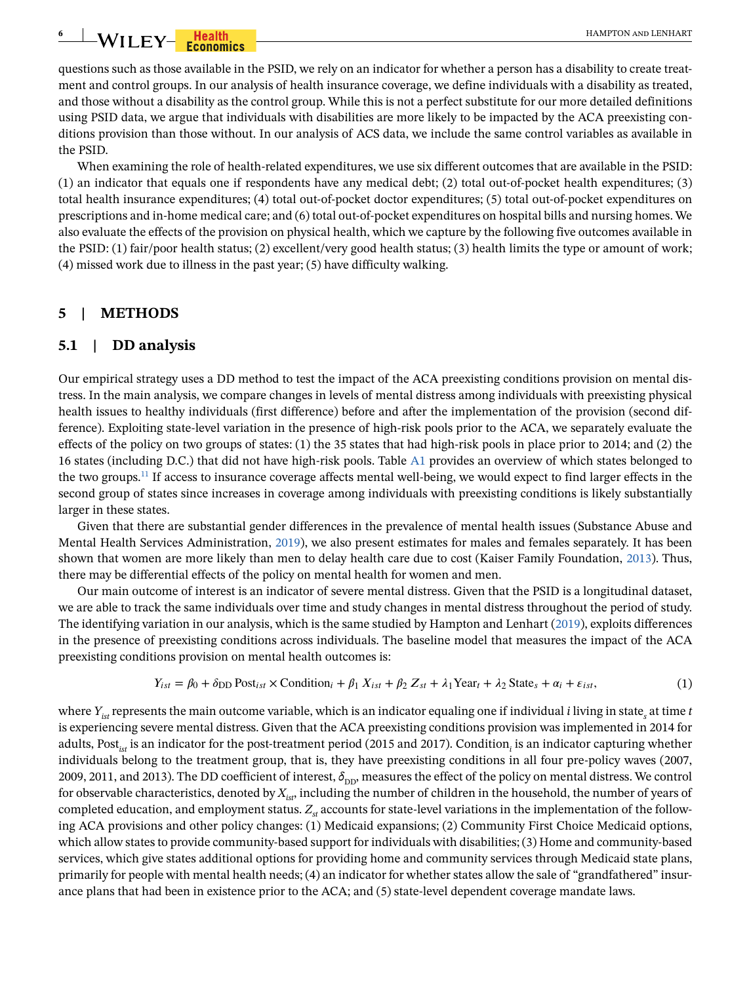# **6**  $\blacksquare$  **WILEY** Francis

questions such as those available in the PSID, we rely on an indicator for whether a person has a disability to create treatment and control groups. In our analysis of health insurance coverage, we define individuals with a disability as treated, and those without a disability as the control group. While this is not a perfect substitute for our more detailed definitions using PSID data, we argue that individuals with disabilities are more likely to be impacted by the ACA preexisting conditions provision than those without. In our analysis of ACS data, we include the same control variables as available in the PSID.

When examining the role of health-related expenditures, we use six different outcomes that are available in the PSID: (1) an indicator that equals one if respondents have any medical debt; (2) total out-of-pocket health expenditures; (3) total health insurance expenditures; (4) total out-of-pocket doctor expenditures; (5) total out-of-pocket expenditures on prescriptions and in-home medical care; and (6) total out-of-pocket expenditures on hospital bills and nursing homes. We also evaluate the effects of the provision on physical health, which we capture by the following five outcomes available in the PSID: (1) fair/poor health status; (2) excellent/very good health status; (3) health limits the type or amount of work; (4) missed work due to illness in the past year; (5) have difficulty walking.

# **5 | METHODS**

#### **5.1 | DD analysis**

Our empirical strategy uses a DD method to test the impact of the ACA preexisting conditions provision on mental distress. In the main analysis, we compare changes in levels of mental distress among individuals with preexisting physical health issues to healthy individuals (first difference) before and after the implementation of the provision (second difference). Exploiting state-level variation in the presence of high-risk pools prior to the ACA, we separately evaluate the effects of the policy on two groups of states: (1) the 35 states that had high-risk pools in place prior to 2014; and (2) the 16 states (including D.C.) that did not have high-risk pools. Table A1 provides an overview of which states belonged to the two groups[.11](#page-16-10) If access to insurance coverage affects mental well-being, we would expect to find larger effects in the second group of states since increases in coverage among individuals with preexisting conditions is likely substantially larger in these states.

Given that there are substantial gender differences in the prevalence of mental health issues (Substance Abuse and Mental Health Services Administration, [2019\)](#page-18-0), we also present estimates for males and females separately. It has been shown that women are more likely than men to delay health care due to cost (Kaiser Family Foundation, [2013](#page-18-19)). Thus, there may be differential effects of the policy on mental health for women and men.

Our main outcome of interest is an indicator of severe mental distress. Given that the PSID is a longitudinal dataset, we are able to track the same individuals over time and study changes in mental distress throughout the period of study. The identifying variation in our analysis, which is the same studied by Hampton and Lenhart ([2019\)](#page-17-8), exploits differences in the presence of preexisting conditions across individuals. The baseline model that measures the impact of the ACA preexisting conditions provision on mental health outcomes is:

$$
Y_{ist} = \beta_0 + \delta_{\text{DD}} \text{Post}_{ist} \times \text{Condition}_i + \beta_1 X_{ist} + \beta_2 Z_{st} + \lambda_1 \text{Year}_t + \lambda_2 \text{State}_s + \alpha_i + \varepsilon_{ist},\tag{1}
$$

<span id="page-5-0"></span>where *Yist* represents the main outcome variable, which is an indicator equaling one if individual *i* living in state*<sup>s</sup>* at time *t* is experiencing severe mental distress. Given that the ACA preexisting conditions provision was implemented in 2014 for adults, Post*ist* is an indicator for the post-treatment period (2015 and 2017). Condition*<sup>i</sup>* is an indicator capturing whether individuals belong to the treatment group, that is, they have preexisting conditions in all four pre-policy waves (2007, 2009, 2011, and 2013). The DD coefficient of interest,  $\delta_{\text{DD}}$ , measures the effect of the policy on mental distress. We control for observable characteristics, denoted by  $X_{ist}$ , including the number of children in the household, the number of years of completed education, and employment status.  $Z_{st}$  accounts for state-level variations in the implementation of the following ACA provisions and other policy changes: (1) Medicaid expansions; (2) Community First Choice Medicaid options, which allow states to provide community-based support for individuals with disabilities; (3) Home and community-based services, which give states additional options for providing home and community services through Medicaid state plans, primarily for people with mental health needs; (4) an indicator for whether states allow the sale of "grandfathered" insurance plans that had been in existence prior to the ACA; and (5) state-level dependent coverage mandate laws.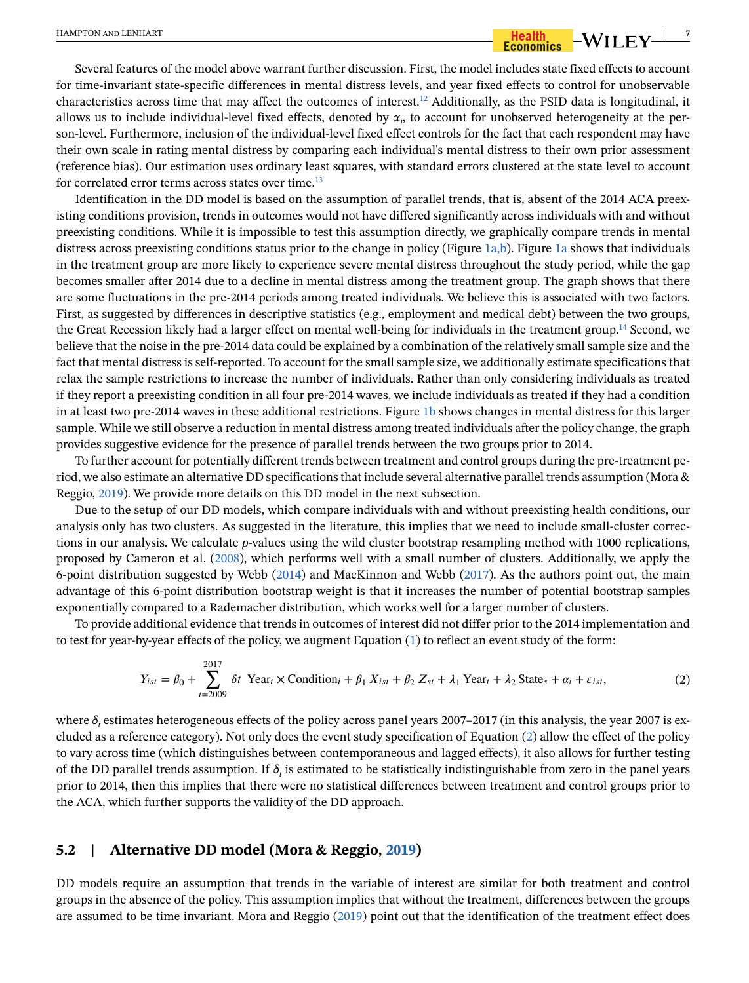## Several features of the model above warrant further discussion. First, the model includes state fixed effects to account for time-invariant state-specific differences in mental distress levels, and year fixed effects to control for unobservable characteristics across time that may affect the outcomes of interest.[12](#page-16-11) Additionally, as the PSID data is longitudinal, it allows us to include individual-level fixed effects, denoted by  $\alpha_i$ , to account for unobserved heterogeneity at the person-level. Furthermore, inclusion of the individual-level fixed effect controls for the fact that each respondent may have their own scale in rating mental distress by comparing each individual's mental distress to their own prior assessment (reference bias). Our estimation uses ordinary least squares, with standard errors clustered at the state level to account for correlated error terms across states over time.<sup>13</sup>

Identification in the DD model is based on the assumption of parallel trends, that is, absent of the 2014 ACA preexisting conditions provision, trends in outcomes would not have differed significantly across individuals with and without preexisting conditions. While it is impossible to test this assumption directly, we graphically compare trends in mental distress across preexisting conditions status prior to the change in policy (Figure [1a,b\)](#page-7-0). Figure [1a](#page-7-0) shows that individuals in the treatment group are more likely to experience severe mental distress throughout the study period, while the gap becomes smaller after 2014 due to a decline in mental distress among the treatment group. The graph shows that there are some fluctuations in the pre-2014 periods among treated individuals. We believe this is associated with two factors. First, as suggested by differences in descriptive statistics (e.g., employment and medical debt) between the two groups, the Great Recession likely had a larger effect on mental well-being for individuals in the treatment group[.14](#page-16-13) Second, we believe that the noise in the pre-2014 data could be explained by a combination of the relatively small sample size and the fact that mental distress is self-reported. To account for the small sample size, we additionally estimate specifications that relax the sample restrictions to increase the number of individuals. Rather than only considering individuals as treated if they report a preexisting condition in all four pre-2014 waves, we include individuals as treated if they had a condition in at least two pre-2014 waves in these additional restrictions. Figure [1b](#page-7-0) shows changes in mental distress for this larger sample. While we still observe a reduction in mental distress among treated individuals after the policy change, the graph provides suggestive evidence for the presence of parallel trends between the two groups prior to 2014.

To further account for potentially different trends between treatment and control groups during the pre-treatment period, we also estimate an alternative DD specifications that include several alternative parallel trends assumption (Mora & Reggio, [2019](#page-18-20)). We provide more details on this DD model in the next subsection.

Due to the setup of our DD models, which compare individuals with and without preexisting health conditions, our analysis only has two clusters. As suggested in the literature, this implies that we need to include small-cluster corrections in our analysis. We calculate *p*-values using the wild cluster bootstrap resampling method with 1000 replications, proposed by Cameron et al. ([2008\)](#page-17-15), which performs well with a small number of clusters. Additionally, we apply the 6-point distribution suggested by Webb ([2014\)](#page-18-21) and MacKinnon and Webb [\(2017\)](#page-18-22). As the authors point out, the main advantage of this 6-point distribution bootstrap weight is that it increases the number of potential bootstrap samples exponentially compared to a Rademacher distribution, which works well for a larger number of clusters.

To provide additional evidence that trends in outcomes of interest did not differ prior to the 2014 implementation and to test for year-by-year effects of the policy, we augment Equation ([1\)](#page-5-0) to reflect an event study of the form:

$$
Y_{ist} = \beta_0 + \sum_{t=2009}^{2017} \delta t \text{ Year}_t \times \text{Condition}_i + \beta_1 X_{ist} + \beta_2 Z_{st} + \lambda_1 \text{Year}_t + \lambda_2 \text{State}_s + \alpha_i + \varepsilon_{ist},
$$
 (2)

<span id="page-6-0"></span>where *δ<sub>t</sub>* estimates heterogeneous effects of the policy across panel years 2007–2017 (in this analysis, the year 2007 is excluded as a reference category). Not only does the event study specification of Equation ([2\)](#page-6-0) allow the effect of the policy to vary across time (which distinguishes between contemporaneous and lagged effects), it also allows for further testing of the DD parallel trends assumption. If  $\delta_t$  is estimated to be statistically indistinguishable from zero in the panel years prior to 2014, then this implies that there were no statistical differences between treatment and control groups prior to the ACA, which further supports the validity of the DD approach.

## **5.2 | Alternative DD model (Mora & Reggio, [2019\)](#page-18-20)**

DD models require an assumption that trends in the variable of interest are similar for both treatment and control groups in the absence of the policy. This assumption implies that without the treatment, differences between the groups are assumed to be time invariant. Mora and Reggio ([2019](#page-18-20)) point out that the identification of the treatment effect does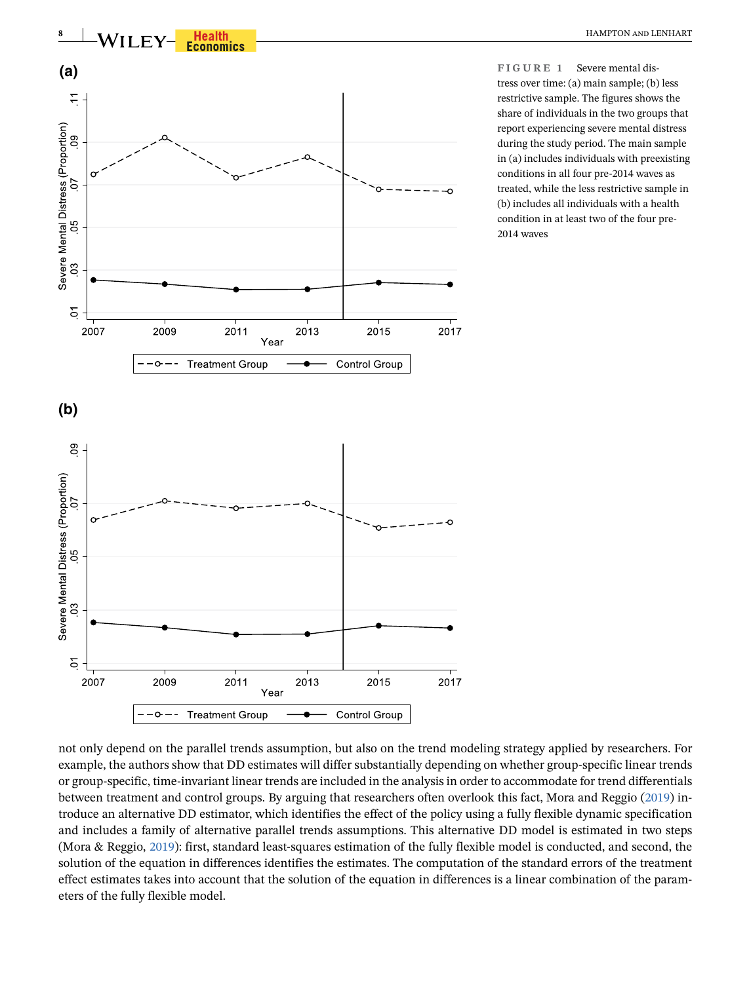

<span id="page-7-0"></span>**FIGURE 1** Severe mental distress over time: (a) main sample; (b) less restrictive sample. The figures shows the share of individuals in the two groups that report experiencing severe mental distress during the study period. The main sample in (a) includes individuals with preexisting conditions in all four pre-2014 waves as treated, while the less restrictive sample in (b) includes all individuals with a health condition in at least two of the four pre-2014 waves

not only depend on the parallel trends assumption, but also on the trend modeling strategy applied by researchers. For example, the authors show that DD estimates will differ substantially depending on whether group-specific linear trends or group-specific, time-invariant linear trends are included in the analysis in order to accommodate for trend differentials between treatment and control groups. By arguing that researchers often overlook this fact, Mora and Reggio ([2019\)](#page-18-20) introduce an alternative DD estimator, which identifies the effect of the policy using a fully flexible dynamic specification and includes a family of alternative parallel trends assumptions. This alternative DD model is estimated in two steps (Mora & Reggio, [2019\)](#page-18-20): first, standard least-squares estimation of the fully flexible model is conducted, and second, the solution of the equation in differences identifies the estimates. The computation of the standard errors of the treatment effect estimates takes into account that the solution of the equation in differences is a linear combination of the parameters of the fully flexible model.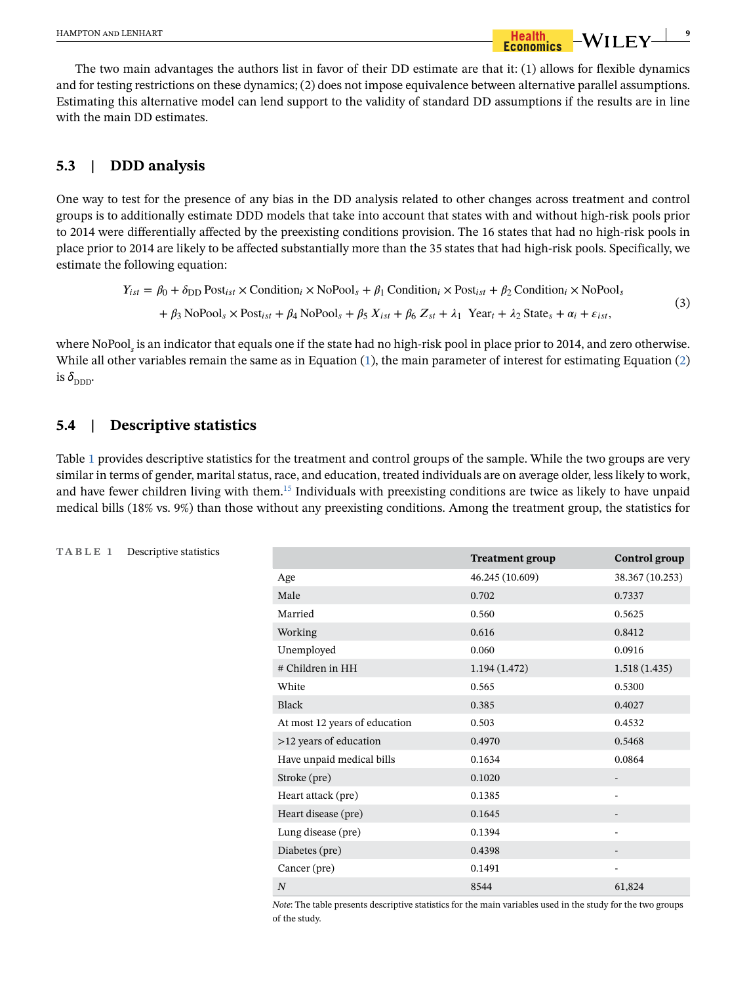The two main advantages the authors list in favor of their DD estimate are that it: (1) allows for flexible dynamics and for testing restrictions on these dynamics; (2) does not impose equivalence between alternative parallel assumptions. Estimating this alternative model can lend support to the validity of standard DD assumptions if the results are in line with the main DD estimates.

## **5.3 | DDD analysis**

One way to test for the presence of any bias in the DD analysis related to other changes across treatment and control groups is to additionally estimate DDD models that take into account that states with and without high-risk pools prior to 2014 were differentially affected by the preexisting conditions provision. The 16 states that had no high-risk pools in place prior to 2014 are likely to be affected substantially more than the 35 states that had high-risk pools. Specifically, we estimate the following equation:

$$
Y_{ist} = \beta_0 + \delta_{\text{DD}} \text{Post}_{ist} \times \text{Condition}_i \times \text{NoPool}_s + \beta_1 \text{Condition}_i \times \text{Post}_{ist} + \beta_2 \text{Condition}_i \times \text{NoPool}_s
$$
  
+  $\beta_3 \text{NoPool}_s \times \text{Post}_{ist} + \beta_4 \text{NoPool}_s + \beta_5 X_{ist} + \beta_6 Z_{st} + \lambda_1 \text{ Year}_t + \lambda_2 \text{State}_s + \alpha_i + \varepsilon_{ist},$  (3)

where NoPool*<sup>s</sup>* is an indicator that equals one if the state had no high-risk pool in place prior to 2014, and zero otherwise. While all other variables remain the same as in Equation [\(1\)](#page-5-0), the main parameter of interest for estimating Equation [\(2](#page-6-0)) is  $\delta_{\text{DDD}}$ .

### **5.4 | Descriptive statistics**

Table [1](#page-8-0) provides descriptive statistics for the treatment and control groups of the sample. While the two groups are very similar in terms of gender, marital status, race, and education, treated individuals are on average older, less likely to work, and have fewer children living with them[.15](#page-16-14) Individuals with preexisting conditions are twice as likely to have unpaid medical bills (18% vs. 9%) than those without any preexisting conditions. Among the treatment group, the statistics for

|                               | <b>Treatment group</b> | Control group   |
|-------------------------------|------------------------|-----------------|
| Age                           | 46.245 (10.609)        | 38.367 (10.253) |
| Male                          | 0.702                  | 0.7337          |
| Married                       | 0.560                  | 0.5625          |
| Working                       | 0.616                  | 0.8412          |
| Unemployed                    | 0.060                  | 0.0916          |
| # Children in HH              | 1.194(1.472)           | 1.518(1.435)    |
| White                         | 0.565                  | 0.5300          |
| <b>Black</b>                  | 0.385                  | 0.4027          |
| At most 12 years of education | 0.503                  | 0.4532          |
| >12 years of education        | 0.4970                 | 0.5468          |
| Have unpaid medical bills     | 0.1634                 | 0.0864          |
| Stroke (pre)                  | 0.1020                 |                 |
| Heart attack (pre)            | 0.1385                 |                 |
| Heart disease (pre)           | 0.1645                 |                 |
| Lung disease (pre)            | 0.1394                 |                 |
| Diabetes (pre)                | 0.4398                 |                 |
| Cancer (pre)                  | 0.1491                 |                 |
| N                             | 8544                   | 61,824          |

*Note*: The table presents descriptive statistics for the main variables used in the study for the two groups of the study.

<span id="page-8-0"></span>

|  |  |  |  | TABLE |  | Descriptive statistics |  |
|--|--|--|--|-------|--|------------------------|--|
|--|--|--|--|-------|--|------------------------|--|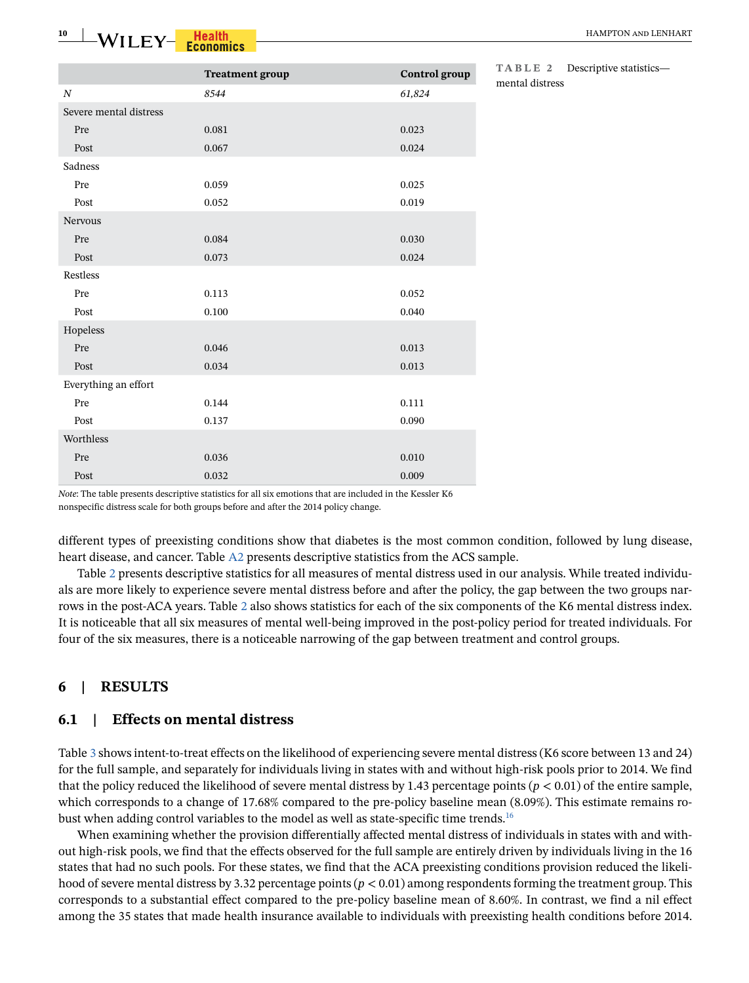|                        | <b>Treatment</b> group | Control group | 1 A D L 1<br>mental di |
|------------------------|------------------------|---------------|------------------------|
| $\boldsymbol{N}$       | 8544                   | 61,824        |                        |
| Severe mental distress |                        |               |                        |
| Pre                    | 0.081                  | 0.023         |                        |
| Post                   | 0.067                  | 0.024         |                        |
| Sadness                |                        |               |                        |
| Pre                    | 0.059                  | 0.025         |                        |
| Post                   | 0.052                  | 0.019         |                        |
| Nervous                |                        |               |                        |
| Pre                    | 0.084                  | 0.030         |                        |
| Post                   | 0.073                  | 0.024         |                        |
| Restless               |                        |               |                        |
| Pre                    | 0.113                  | 0.052         |                        |
| Post                   | 0.100                  | 0.040         |                        |
| Hopeless               |                        |               |                        |
| Pre                    | 0.046                  | 0.013         |                        |
| Post                   | 0.034                  | 0.013         |                        |
| Everything an effort   |                        |               |                        |
| Pre                    | 0.144                  | 0.111         |                        |
| Post                   | 0.137                  | 0.090         |                        |
| Worthless              |                        |               |                        |
| Pre                    | 0.036                  | 0.010         |                        |
| Post                   | 0.032                  | 0.009         |                        |

<span id="page-9-0"></span>**TABLE 2** Descriptive statistics istress

*Note*: The table presents descriptive statistics for all six emotions that are included in the Kessler K6 nonspecific distress scale for both groups before and after the 2014 policy change.

different types of preexisting conditions show that diabetes is the most common condition, followed by lung disease, heart disease, and cancer. Table A2 presents descriptive statistics from the ACS sample.

Table [2](#page-9-0) presents descriptive statistics for all measures of mental distress used in our analysis. While treated individuals are more likely to experience severe mental distress before and after the policy, the gap between the two groups narrows in the post-ACA years. Table [2](#page-9-0) also shows statistics for each of the six components of the K6 mental distress index. It is noticeable that all six measures of mental well-being improved in the post-policy period for treated individuals. For four of the six measures, there is a noticeable narrowing of the gap between treatment and control groups.

# **6 | RESULTS**

### **6.1 | Effects on mental distress**

Table [3](#page-10-0) shows intent-to-treat effects on the likelihood of experiencing severe mental distress (K6 score between 13 and 24) for the full sample, and separately for individuals living in states with and without high-risk pools prior to 2014. We find that the policy reduced the likelihood of severe mental distress by 1.43 percentage points  $(p < 0.01)$  of the entire sample, which corresponds to a change of 17.68% compared to the pre-policy baseline mean (8.09%). This estimate remains robust when adding control variables to the model as well as state-specific time trends[.16](#page-17-16)

When examining whether the provision differentially affected mental distress of individuals in states with and without high-risk pools, we find that the effects observed for the full sample are entirely driven by individuals living in the 16 states that had no such pools. For these states, we find that the ACA preexisting conditions provision reduced the likelihood of severe mental distress by 3.32 percentage points (*p* < 0.01) among respondents forming the treatment group. This corresponds to a substantial effect compared to the pre-policy baseline mean of 8.60%. In contrast, we find a nil effect among the 35 states that made health insurance available to individuals with preexisting health conditions before 2014.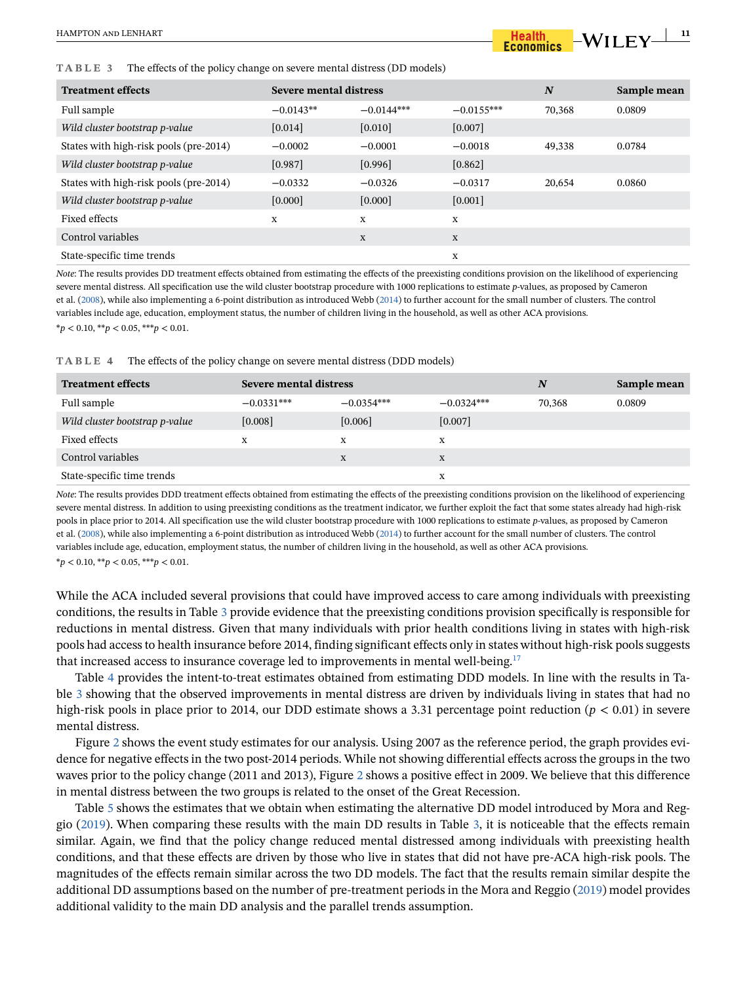#### <span id="page-10-0"></span>**TABLE 3** The effects of the policy change on severe mental distress (DD models)

| <b>Treatment effects</b>               | Severe mental distress |              | N            | Sample mean |        |
|----------------------------------------|------------------------|--------------|--------------|-------------|--------|
| Full sample                            | $-0.0143**$            | $-0.0144***$ | $-0.0155***$ | 70,368      | 0.0809 |
| Wild cluster bootstrap p-value         | [0.014]                | [0.010]      | $[0.007]$    |             |        |
| States with high-risk pools (pre-2014) | $-0.0002$              | $-0.0001$    | $-0.0018$    | 49.338      | 0.0784 |
| Wild cluster bootstrap p-value         | [0.987]                | [0.996]      | $[0.862]$    |             |        |
| States with high-risk pools (pre-2014) | $-0.0332$              | $-0.0326$    | $-0.0317$    | 20,654      | 0.0860 |
| Wild cluster bootstrap p-value         | [0.000]                | [0.000]      | $[0.001]$    |             |        |
| Fixed effects                          | X                      | X            | X            |             |        |
| Control variables                      |                        | $\mathbf X$  | X            |             |        |
| State-specific time trends             |                        |              | X            |             |        |

*Note*: The results provides DD treatment effects obtained from estimating the effects of the preexisting conditions provision on the likelihood of experiencing severe mental distress. All specification use the wild cluster bootstrap procedure with 1000 replications to estimate *p*-values, as proposed by Cameron et al. ([2008](#page-17-15)), while also implementing a 6-point distribution as introduced Webb ([2014\)](#page-18-21) to further account for the small number of clusters. The control variables include age, education, employment status, the number of children living in the household, as well as other ACA provisions. \**p* < 0.10, \*\**p* < 0.05, \*\*\**p* < 0.01.

<span id="page-10-1"></span>

| TABLE 4 | The effects of the policy change on severe mental distress (DDD models) |  |  |
|---------|-------------------------------------------------------------------------|--|--|
|---------|-------------------------------------------------------------------------|--|--|

| <b>Treatment effects</b>       | Severe mental distress |              | N            | Sample mean |        |
|--------------------------------|------------------------|--------------|--------------|-------------|--------|
| Full sample                    | $-0.0331***$           | $-0.0354***$ | $-0.0324***$ | 70,368      | 0.0809 |
| Wild cluster bootstrap p-value | [0.008]                | [0.006]      | [0.007]      |             |        |
| Fixed effects                  | X                      | X            | X            |             |        |
| Control variables              |                        | X            | X            |             |        |
| State-specific time trends     |                        |              | X            |             |        |

*Note*: The results provides DDD treatment effects obtained from estimating the effects of the preexisting conditions provision on the likelihood of experiencing severe mental distress. In addition to using preexisting conditions as the treatment indicator, we further exploit the fact that some states already had high-risk pools in place prior to 2014. All specification use the wild cluster bootstrap procedure with 1000 replications to estimate *p*-values, as proposed by Cameron et al. ([2008](#page-17-15)), while also implementing a 6-point distribution as introduced Webb ([2014\)](#page-18-21) to further account for the small number of clusters. The control variables include age, education, employment status, the number of children living in the household, as well as other ACA provisions. \**p* < 0.10, \*\**p* < 0.05, \*\*\**p* < 0.01.

While the ACA included several provisions that could have improved access to care among individuals with preexisting conditions, the results in Table [3](#page-10-0) provide evidence that the preexisting conditions provision specifically is responsible for reductions in mental distress. Given that many individuals with prior health conditions living in states with high-risk pools had access to health insurance before 2014, finding significant effects only in states without high-risk pools suggests that increased access to insurance coverage led to improvements in mental well-being.[17](#page-17-17)

Table [4](#page-10-1) provides the intent-to-treat estimates obtained from estimating DDD models. In line with the results in Table [3](#page-10-0) showing that the observed improvements in mental distress are driven by individuals living in states that had no high-risk pools in place prior to 2014, our DDD estimate shows a 3.31 percentage point reduction ( $p < 0.01$ ) in severe mental distress.

Figure [2](#page-11-0) shows the event study estimates for our analysis. Using 2007 as the reference period, the graph provides evidence for negative effects in the two post-2014 periods. While not showing differential effects across the groups in the two waves prior to the policy change (2011 and 2013), Figure [2](#page-11-0) shows a positive effect in 2009. We believe that this difference in mental distress between the two groups is related to the onset of the Great Recession.

Table [5](#page-11-1) shows the estimates that we obtain when estimating the alternative DD model introduced by Mora and Reggio [\(2019](#page-18-20)). When comparing these results with the main DD results in Table [3](#page-10-0), it is noticeable that the effects remain similar. Again, we find that the policy change reduced mental distressed among individuals with preexisting health conditions, and that these effects are driven by those who live in states that did not have pre-ACA high-risk pools. The magnitudes of the effects remain similar across the two DD models. The fact that the results remain similar despite the additional DD assumptions based on the number of pre-treatment periods in the Mora and Reggio [\(2019\)](#page-18-20) model provides additional validity to the main DD analysis and the parallel trends assumption.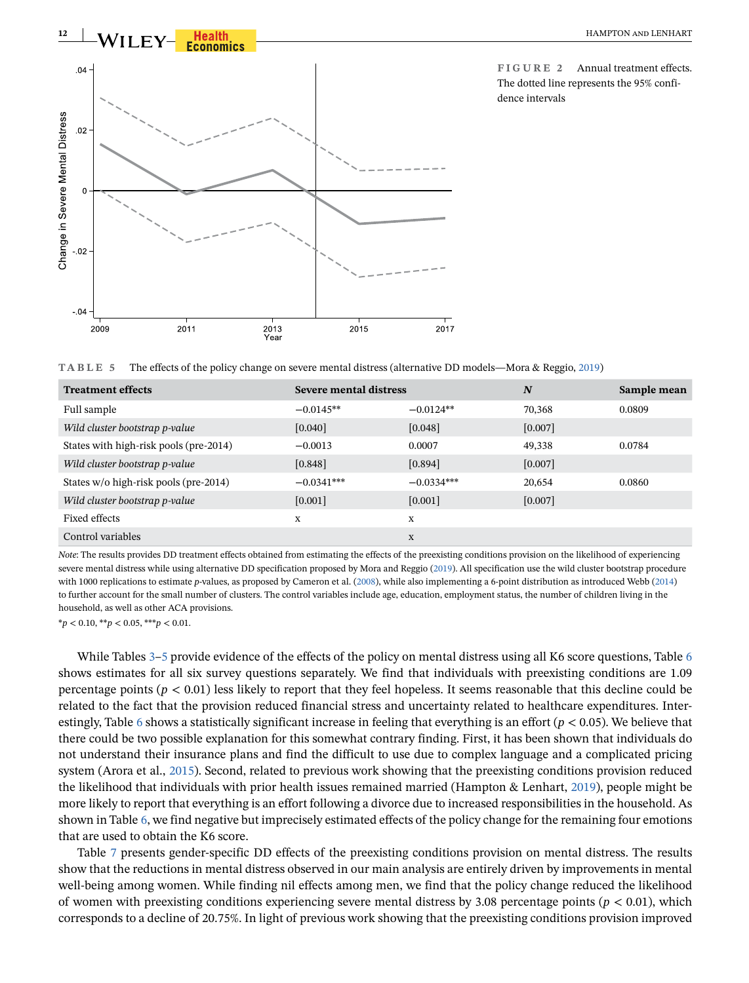

<span id="page-11-0"></span>**FIGURE 2** Annual treatment effects. The dotted line represents the 95% confidence intervals

<span id="page-11-1"></span>

|  |  | TABLE 5 The effects of the policy change on severe mental distress (alternative DD models—Mora & Reggio, 2019) |  |  |
|--|--|----------------------------------------------------------------------------------------------------------------|--|--|
|--|--|----------------------------------------------------------------------------------------------------------------|--|--|

| <b>Treatment effects</b>               | Severe mental distress |              | N       | Sample mean |
|----------------------------------------|------------------------|--------------|---------|-------------|
| Full sample                            | $-0.0145**$            | $-0.0124**$  | 70,368  | 0.0809      |
| Wild cluster bootstrap p-value         | [0.040]                | [0.048]      | [0.007] |             |
| States with high-risk pools (pre-2014) | $-0.0013$              | 0.0007       | 49,338  | 0.0784      |
| Wild cluster bootstrap p-value         | [0.848]                | [0.894]      | [0.007] |             |
| States w/o high-risk pools (pre-2014)  | $-0.0341***$           | $-0.0334***$ | 20,654  | 0.0860      |
| Wild cluster bootstrap p-value         | [0.001]                | [0.001]      | [0.007] |             |
| Fixed effects                          | X                      | X            |         |             |
| Control variables                      |                        | X            |         |             |

*Note*: The results provides DD treatment effects obtained from estimating the effects of the preexisting conditions provision on the likelihood of experiencing severe mental distress while using alternative DD specification proposed by Mora and Reggio ([2019\)](#page-18-20). All specification use the wild cluster bootstrap procedure with 1000 replications to estimate *p*-values, as proposed by Cameron et al. ([2008\)](#page-17-15), while also implementing a 6-point distribution as introduced Webb [\(2014\)](#page-18-21) to further account for the small number of clusters. The control variables include age, education, employment status, the number of children living in the household, as well as other ACA provisions.

\**p* < 0.10, \*\**p* < 0.05, \*\*\**p* < 0.01.

While Tables [3](#page-10-0)[–5](#page-11-1) provide evidence of the effects of the policy on mental distress using all K[6](#page-12-0) score questions, Table 6 shows estimates for all six survey questions separately. We find that individuals with preexisting conditions are 1.09 percentage points (*p* < 0.01) less likely to report that they feel hopeless. It seems reasonable that this decline could be related to the fact that the provision reduced financial stress and uncertainty related to healthcare expenditures. Inter-estingly, Table [6](#page-12-0) shows a statistically significant increase in feeling that everything is an effort ( $p < 0.05$ ). We believe that there could be two possible explanation for this somewhat contrary finding. First, it has been shown that individuals do not understand their insurance plans and find the difficult to use due to complex language and a complicated pricing system (Arora et al., [2015](#page-17-18)). Second, related to previous work showing that the preexisting conditions provision reduced the likelihood that individuals with prior health issues remained married (Hampton & Lenhart, [2019\)](#page-17-8), people might be more likely to report that everything is an effort following a divorce due to increased responsibilities in the household. As shown in Table [6,](#page-12-0) we find negative but imprecisely estimated effects of the policy change for the remaining four emotions that are used to obtain the K6 score.

Table [7](#page-12-1) presents gender-specific DD effects of the preexisting conditions provision on mental distress. The results show that the reductions in mental distress observed in our main analysis are entirely driven by improvements in mental well-being among women. While finding nil effects among men, we find that the policy change reduced the likelihood of women with preexisting conditions experiencing severe mental distress by 3.08 percentage points ( $p < 0.01$ ), which corresponds to a decline of 20.75%. In light of previous work showing that the preexisting conditions provision improved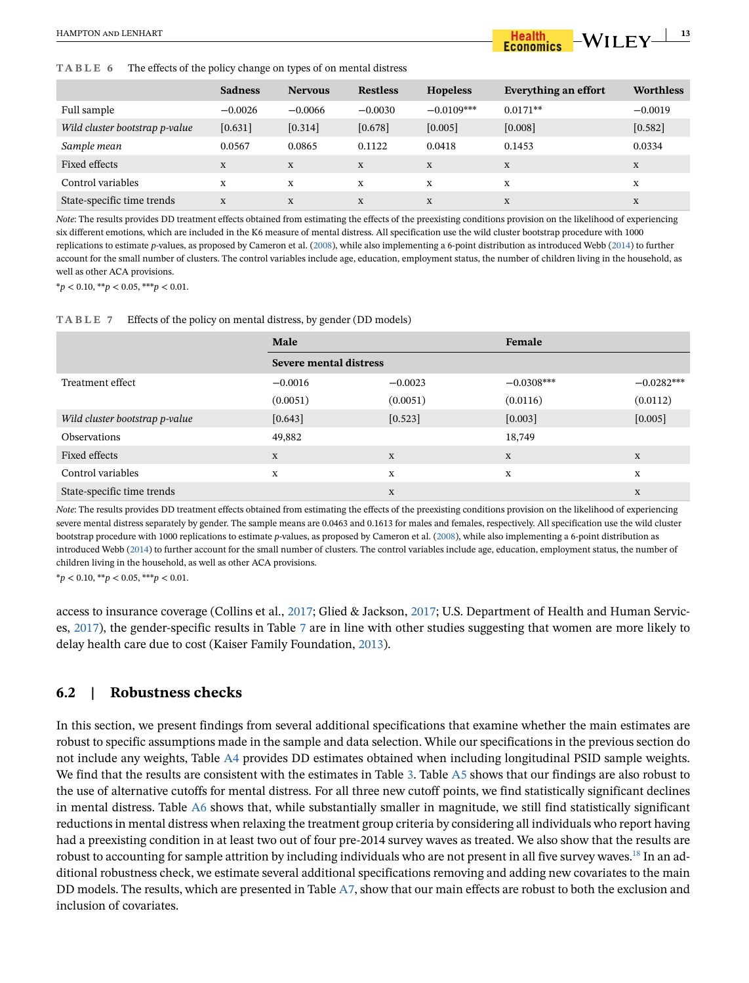<span id="page-12-0"></span>**TABLE 6** The effects of the policy change on types of on mental distress

|                                | <b>Sadness</b> | <b>Nervous</b> | <b>Restless</b> | <b>Hopeless</b> | Everything an effort | <b>Worthless</b> |
|--------------------------------|----------------|----------------|-----------------|-----------------|----------------------|------------------|
| Full sample                    | $-0.0026$      | $-0.0066$      | $-0.0030$       | $-0.0109***$    | $0.0171**$           | $-0.0019$        |
| Wild cluster bootstrap p-value | [0.631]        | [0.314]        | [0.678]         | [0.005]         | [0.008]              | $[0.582]$        |
| Sample mean                    | 0.0567         | 0.0865         | 0.1122          | 0.0418          | 0.1453               | 0.0334           |
| Fixed effects                  | X              | X              | X               | X               | X                    | X                |
| Control variables              | X              | X              | X               | X               | X                    | X                |
| State-specific time trends     | X              | X              | X               | X               | X                    | X                |

*Note*: The results provides DD treatment effects obtained from estimating the effects of the preexisting conditions provision on the likelihood of experiencing six different emotions, which are included in the K6 measure of mental distress. All specification use the wild cluster bootstrap procedure with 1000 replications to estimate *p*-values, as proposed by Cameron et al. [\(2008](#page-17-15)), while also implementing a 6-point distribution as introduced Webb ([2014](#page-18-21)) to further account for the small number of clusters. The control variables include age, education, employment status, the number of children living in the household, as well as other ACA provisions.

\**p* < 0.10, \*\**p* < 0.05, \*\*\**p* < 0.01.

<span id="page-12-1"></span>

|  | TABLE 7 Effects of the policy on mental distress, by gender (DD models) |  |  |
|--|-------------------------------------------------------------------------|--|--|
|--|-------------------------------------------------------------------------|--|--|

|                                | Male                   |           | Female       |              |
|--------------------------------|------------------------|-----------|--------------|--------------|
|                                | Severe mental distress |           |              |              |
| Treatment effect               | $-0.0016$              | $-0.0023$ | $-0.0308***$ | $-0.0282***$ |
|                                | (0.0051)               | (0.0051)  | (0.0116)     | (0.0112)     |
| Wild cluster bootstrap p-value | [0.643]                | $[0.523]$ | [0.003]      | $[0.005]$    |
| <b>Observations</b>            | 49,882                 |           | 18,749       |              |
| Fixed effects                  | X                      | X         | X            | X            |
| Control variables              | X                      | X         | X            | X            |
| State-specific time trends     |                        | X         |              | X            |

*Note*: The results provides DD treatment effects obtained from estimating the effects of the preexisting conditions provision on the likelihood of experiencing severe mental distress separately by gender. The sample means are 0.0463 and 0.1613 for males and females, respectively. All specification use the wild cluster bootstrap procedure with 1000 replications to estimate *p*-values, as proposed by Cameron et al. [\(2008](#page-17-15)), while also implementing a 6-point distribution as introduced Webb [\(2014](#page-18-21)) to further account for the small number of clusters. The control variables include age, education, employment status, the number of children living in the household, as well as other ACA provisions.

\**p* < 0.10, \*\**p* < 0.05, \*\*\**p* < 0.01.

access to insurance coverage (Collins et al., [2017;](#page-17-2) Glied & Jackson, [2017;](#page-17-3) U.S. Department of Health and Human Services, [2017\)](#page-18-3), the gender-specific results in Table [7](#page-12-1) are in line with other studies suggesting that women are more likely to delay health care due to cost (Kaiser Family Foundation, [2013\)](#page-18-19).

### **6.2 | Robustness checks**

In this section, we present findings from several additional specifications that examine whether the main estimates are robust to specific assumptions made in the sample and data selection. While our specifications in the previous section do not include any weights, Table A4 provides DD estimates obtained when including longitudinal PSID sample weights. We find that the results are consistent with the estimates in Table [3.](#page-10-0) Table A5 shows that our findings are also robust to the use of alternative cutoffs for mental distress. For all three new cutoff points, we find statistically significant declines in mental distress. Table A6 shows that, while substantially smaller in magnitude, we still find statistically significant reductions in mental distress when relaxing the treatment group criteria by considering all individuals who report having had a preexisting condition in at least two out of four pre-2014 survey waves as treated. We also show that the results are robust to accounting for sample attrition by including individuals who are not present in all five survey waves.<sup>[18](#page-17-19)</sup> In an additional robustness check, we estimate several additional specifications removing and adding new covariates to the main DD models. The results, which are presented in Table A7, show that our main effects are robust to both the exclusion and inclusion of covariates.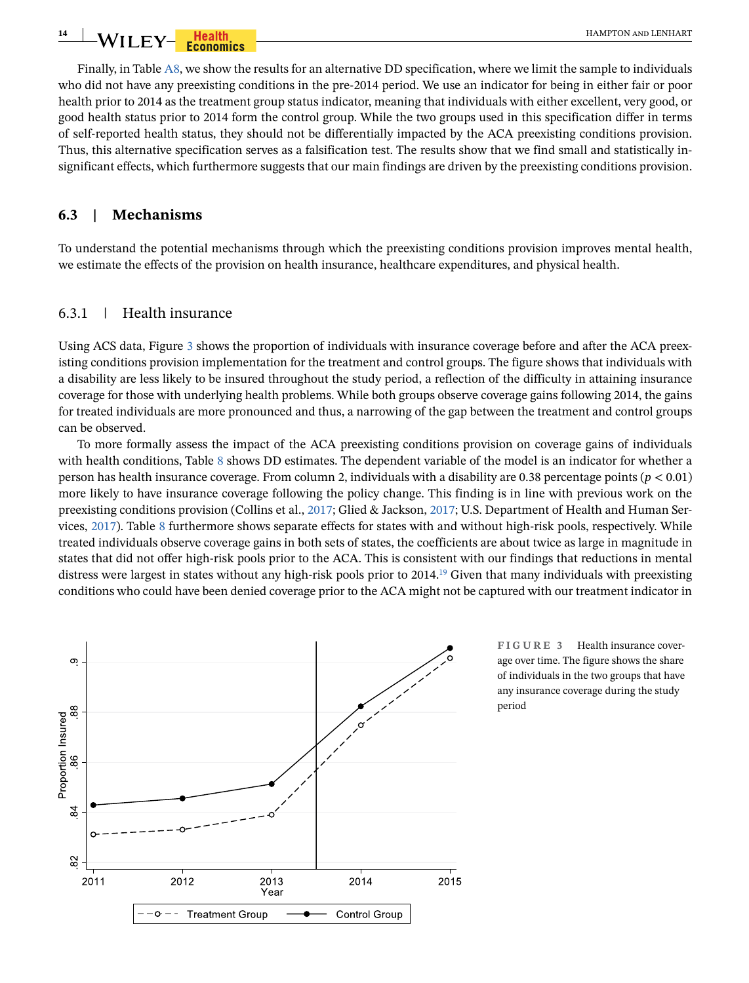**14 WII FY** For **Health HAMPTON AND LENHART** 

Finally, in Table A8, we show the results for an alternative DD specification, where we limit the sample to individuals who did not have any preexisting conditions in the pre-2014 period. We use an indicator for being in either fair or poor health prior to 2014 as the treatment group status indicator, meaning that individuals with either excellent, very good, or good health status prior to 2014 form the control group. While the two groups used in this specification differ in terms of self-reported health status, they should not be differentially impacted by the ACA preexisting conditions provision. Thus, this alternative specification serves as a falsification test. The results show that we find small and statistically insignificant effects, which furthermore suggests that our main findings are driven by the preexisting conditions provision.

#### **6.3 | Mechanisms**

To understand the potential mechanisms through which the preexisting conditions provision improves mental health, we estimate the effects of the provision on health insurance, healthcare expenditures, and physical health.

#### 6.3.1 | Health insurance

Using ACS data, Figure [3](#page-13-0) shows the proportion of individuals with insurance coverage before and after the ACA preexisting conditions provision implementation for the treatment and control groups. The figure shows that individuals with a disability are less likely to be insured throughout the study period, a reflection of the difficulty in attaining insurance coverage for those with underlying health problems. While both groups observe coverage gains following 2014, the gains for treated individuals are more pronounced and thus, a narrowing of the gap between the treatment and control groups can be observed.

To more formally assess the impact of the ACA preexisting conditions provision on coverage gains of individuals with health conditions, Table [8](#page-14-0) shows DD estimates. The dependent variable of the model is an indicator for whether a person has health insurance coverage. From column 2, individuals with a disability are 0.38 percentage points (*p* < 0.01) more likely to have insurance coverage following the policy change. This finding is in line with previous work on the preexisting conditions provision (Collins et al., [2017](#page-17-2); Glied & Jackson, [2017;](#page-17-3) U.S. Department of Health and Human Services, [2017](#page-18-3)). Table [8](#page-14-0) furthermore shows separate effects for states with and without high-risk pools, respectively. While treated individuals observe coverage gains in both sets of states, the coefficients are about twice as large in magnitude in states that did not offer high-risk pools prior to the ACA. This is consistent with our findings that reductions in mental distress were largest in states without any high-risk pools prior to  $2014<sup>19</sup>$  Given that many individuals with preexisting conditions who could have been denied coverage prior to the ACA might not be captured with our treatment indicator in



<span id="page-13-0"></span>**FIGURE 3** Health insurance coverage over time. The figure shows the share of individuals in the two groups that have any insurance coverage during the study period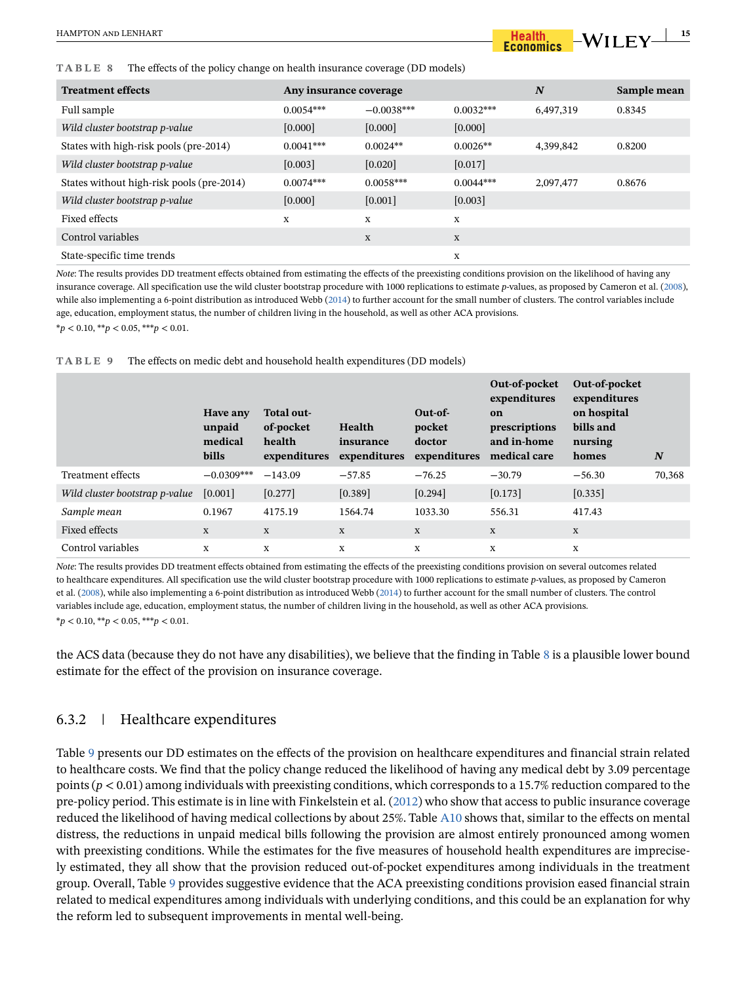#### <span id="page-14-0"></span>**TABLE 8** The effects of the policy change on health insurance coverage (DD models)

| <b>Treatment effects</b>                  | Any insurance coverage |              | N           | Sample mean |        |
|-------------------------------------------|------------------------|--------------|-------------|-------------|--------|
| Full sample                               | $0.0054***$            | $-0.0038***$ | $0.0032***$ | 6,497,319   | 0.8345 |
| Wild cluster bootstrap p-value            | $[0.000]$              | [0.000]      | [0.000]     |             |        |
| States with high-risk pools (pre-2014)    | $0.0041***$            | $0.0024**$   | $0.0026**$  | 4,399,842   | 0.8200 |
| Wild cluster bootstrap p-value            | [0.003]                | $[0.020]$    | [0.017]     |             |        |
| States without high-risk pools (pre-2014) | $0.0074***$            | $0.0058***$  | $0.0044***$ | 2,097,477   | 0.8676 |
| Wild cluster bootstrap p-value            | [0.000]                | [0.001]      | [0.003]     |             |        |
| Fixed effects                             | X                      | X            | X           |             |        |
| Control variables                         |                        | X            | X           |             |        |
| State-specific time trends                |                        |              | X           |             |        |

*Note*: The results provides DD treatment effects obtained from estimating the effects of the preexisting conditions provision on the likelihood of having any insurance coverage. All specification use the wild cluster bootstrap procedure with 1000 replications to estimate *p*-values, as proposed by Cameron et al. [\(2008\)](#page-17-15), while also implementing a 6-point distribution as introduced Webb [\(2014\)](#page-18-21) to further account for the small number of clusters. The control variables include age, education, employment status, the number of children living in the household, as well as other ACA provisions. \**p* < 0.10, \*\**p* < 0.05, \*\*\**p* < 0.01.

<span id="page-14-1"></span>**TABLE 9** The effects on medic debt and household health expenditures (DD models)

|                                | Have any<br>unpaid<br>medical<br>bills | Total out-<br>of-pocket<br>health<br>expenditures | Health<br>insurance<br>expenditures | Out-of-<br>pocket<br>doctor<br>expenditures | Out-of-pocket<br>expenditures<br>on<br>prescriptions<br>and in-home<br>medical care | Out-of-pocket<br>expenditures<br>on hospital<br>bills and<br>nursing<br>homes | $\boldsymbol{N}$ |
|--------------------------------|----------------------------------------|---------------------------------------------------|-------------------------------------|---------------------------------------------|-------------------------------------------------------------------------------------|-------------------------------------------------------------------------------|------------------|
| Treatment effects              | $-0.0309***$                           | $-143.09$                                         | $-57.85$                            | $-76.25$                                    | $-30.79$                                                                            | $-56.30$                                                                      | 70,368           |
| Wild cluster bootstrap p-value | [0.001]                                | [0.277]                                           | [0.389]                             | $[0.294]$                                   | [0.173]                                                                             | [0.335]                                                                       |                  |
| Sample mean                    | 0.1967                                 | 4175.19                                           | 1564.74                             | 1033.30                                     | 556.31                                                                              | 417.43                                                                        |                  |
| Fixed effects                  | X                                      | X                                                 | X                                   | X                                           | X                                                                                   | $\mathbf X$                                                                   |                  |
| Control variables              | X                                      | X                                                 | X                                   | X                                           | X                                                                                   | X                                                                             |                  |

*Note*: The results provides DD treatment effects obtained from estimating the effects of the preexisting conditions provision on several outcomes related to healthcare expenditures. All specification use the wild cluster bootstrap procedure with 1000 replications to estimate *p*-values, as proposed by Cameron et al. ([2008](#page-17-15)), while also implementing a 6-point distribution as introduced Webb ([2014\)](#page-18-21) to further account for the small number of clusters. The control variables include age, education, employment status, the number of children living in the household, as well as other ACA provisions.  $**p* < 0.10, ***p* < 0.05, ***p* < 0.01$ .

the ACS data (because they do not have any disabilities), we believe that the finding in Table [8](#page-14-0) is a plausible lower bound estimate for the effect of the provision on insurance coverage.

# 6.3.2 | Healthcare expenditures

Table [9](#page-14-1) presents our DD estimates on the effects of the provision on healthcare expenditures and financial strain related to healthcare costs. We find that the policy change reduced the likelihood of having any medical debt by 3.09 percentage points (*p* < 0.01) among individuals with preexisting conditions, which corresponds to a 15.7% reduction compared to the pre-policy period. This estimate is in line with Finkelstein et al. ([2012](#page-17-4)) who show that access to public insurance coverage reduced the likelihood of having medical collections by about 25%. Table A10 shows that, similar to the effects on mental distress, the reductions in unpaid medical bills following the provision are almost entirely pronounced among women with preexisting conditions. While the estimates for the five measures of household health expenditures are imprecisely estimated, they all show that the provision reduced out-of-pocket expenditures among individuals in the treatment group. Overall, Table [9](#page-14-1) provides suggestive evidence that the ACA preexisting conditions provision eased financial strain related to medical expenditures among individuals with underlying conditions, and this could be an explanation for why the reform led to subsequent improvements in mental well-being.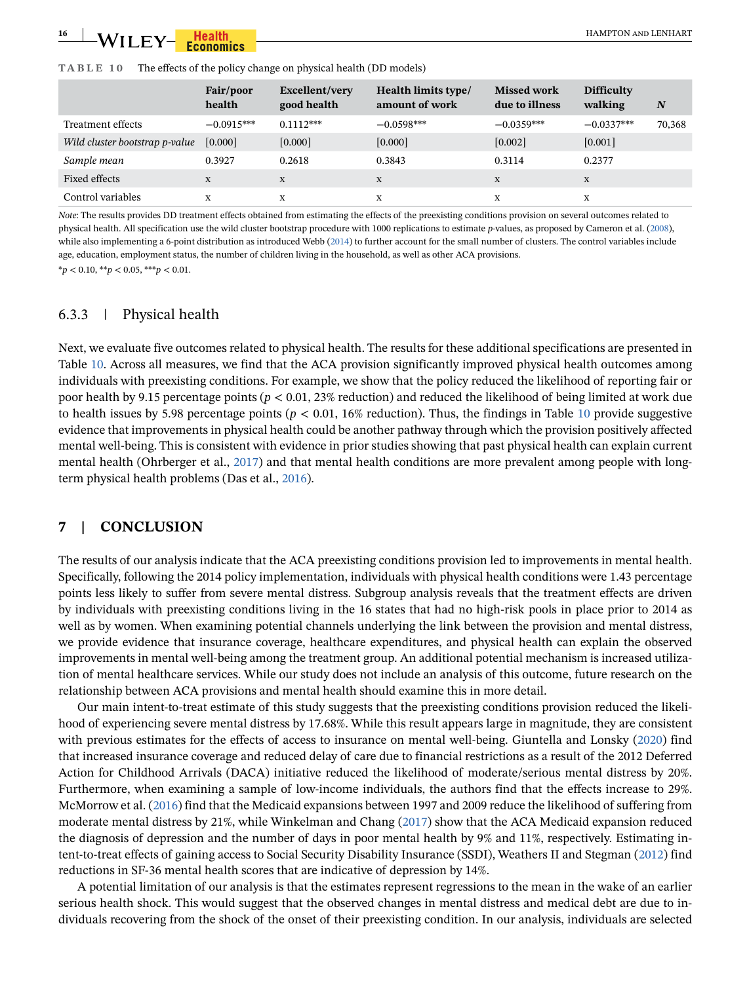<span id="page-15-0"></span>

| The effects of the policy change on physical health (DD models)<br>TABLE 10 |  |
|-----------------------------------------------------------------------------|--|
|-----------------------------------------------------------------------------|--|

|                                | Fair/poor<br>health | Excellent/very<br>good health | Health limits type/<br>amount of work | <b>Missed work</b><br>due to illness | <b>Difficulty</b><br>walking | N      |
|--------------------------------|---------------------|-------------------------------|---------------------------------------|--------------------------------------|------------------------------|--------|
| Treatment effects              | $-0.0915***$        | $0.1112***$                   | $-0.0598***$                          | $-0.0359***$                         | $-0.0337***$                 | 70,368 |
| Wild cluster bootstrap p-value | $[0.000]$           | [0.000]                       | [0.000]                               | [0.002]                              | $[0.001]$                    |        |
| Sample mean                    | 0.3927              | 0.2618                        | 0.3843                                | 0.3114                               | 0.2377                       |        |
| Fixed effects                  | X                   | X                             | X                                     | X                                    | X                            |        |
| Control variables              | X                   | X                             | X                                     | X                                    | X                            |        |

*Note*: The results provides DD treatment effects obtained from estimating the effects of the preexisting conditions provision on several outcomes related to physical health. All specification use the wild cluster bootstrap procedure with 1000 replications to estimate *p*-values, as proposed by Cameron et al. [\(2008\)](#page-17-15), while also implementing a 6-point distribution as introduced Webb ([2014\)](#page-18-21) to further account for the small number of clusters. The control variables include age, education, employment status, the number of children living in the household, as well as other ACA provisions.

\**p* < 0.10, \*\**p* < 0.05, \*\*\**p* < 0.01.

#### 6.3.3 | Physical health

Next, we evaluate five outcomes related to physical health. The results for these additional specifications are presented in Table [10](#page-15-0). Across all measures, we find that the ACA provision significantly improved physical health outcomes among individuals with preexisting conditions. For example, we show that the policy reduced the likelihood of reporting fair or poor health by 9.15 percentage points (*p* < 0.01, 23% reduction) and reduced the likelihood of being limited at work due to health issues by 5.98 percentage points ( $p < 0.01$ , 16% reduction). Thus, the findings in Table [10](#page-15-0) provide suggestive evidence that improvements in physical health could be another pathway through which the provision positively affected mental well-being. This is consistent with evidence in prior studies showing that past physical health can explain current mental health (Ohrberger et al., [2017\)](#page-18-4) and that mental health conditions are more prevalent among people with longterm physical health problems (Das et al., [2016](#page-17-5)).

### **7 | CONCLUSION**

The results of our analysis indicate that the ACA preexisting conditions provision led to improvements in mental health. Specifically, following the 2014 policy implementation, individuals with physical health conditions were 1.43 percentage points less likely to suffer from severe mental distress. Subgroup analysis reveals that the treatment effects are driven by individuals with preexisting conditions living in the 16 states that had no high-risk pools in place prior to 2014 as well as by women. When examining potential channels underlying the link between the provision and mental distress, we provide evidence that insurance coverage, healthcare expenditures, and physical health can explain the observed improvements in mental well-being among the treatment group. An additional potential mechanism is increased utilization of mental healthcare services. While our study does not include an analysis of this outcome, future research on the relationship between ACA provisions and mental health should examine this in more detail.

Our main intent-to-treat estimate of this study suggests that the preexisting conditions provision reduced the likelihood of experiencing severe mental distress by 17.68%. While this result appears large in magnitude, they are consistent with previous estimates for the effects of access to insurance on mental well-being. Giuntella and Lonsky ([2020\)](#page-17-21) find that increased insurance coverage and reduced delay of care due to financial restrictions as a result of the 2012 Deferred Action for Childhood Arrivals (DACA) initiative reduced the likelihood of moderate/serious mental distress by 20%. Furthermore, when examining a sample of low-income individuals, the authors find that the effects increase to 29%. McMorrow et al. ([2016](#page-18-23)) find that the Medicaid expansions between 1997 and 2009 reduce the likelihood of suffering from moderate mental distress by 21%, while Winkelman and Chang [\(2017\)](#page-18-24) show that the ACA Medicaid expansion reduced the diagnosis of depression and the number of days in poor mental health by 9% and 11%, respectively. Estimating intent-to-treat effects of gaining access to Social Security Disability Insurance (SSDI), Weathers II and Stegman ([2012\)](#page-18-25) find reductions in SF-36 mental health scores that are indicative of depression by 14%.

A potential limitation of our analysis is that the estimates represent regressions to the mean in the wake of an earlier serious health shock. This would suggest that the observed changes in mental distress and medical debt are due to individuals recovering from the shock of the onset of their preexisting condition. In our analysis, individuals are selected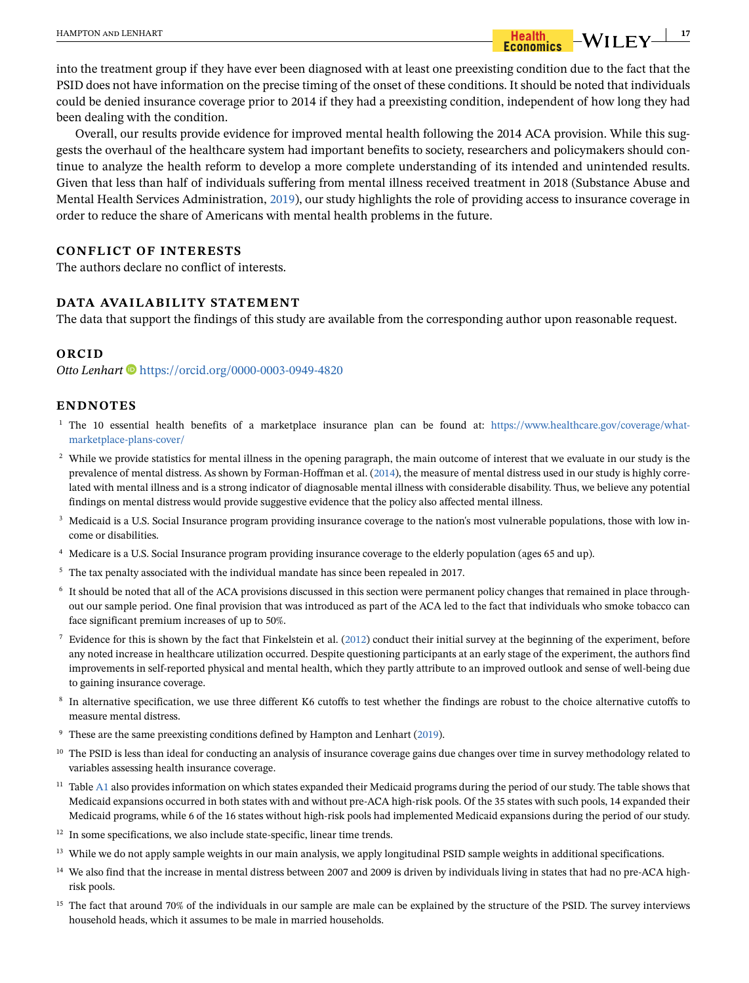into the treatment group if they have ever been diagnosed with at least one preexisting condition due to the fact that the PSID does not have information on the precise timing of the onset of these conditions. It should be noted that individuals could be denied insurance coverage prior to 2014 if they had a preexisting condition, independent of how long they had been dealing with the condition.

Overall, our results provide evidence for improved mental health following the 2014 ACA provision. While this suggests the overhaul of the healthcare system had important benefits to society, researchers and policymakers should continue to analyze the health reform to develop a more complete understanding of its intended and unintended results. Given that less than half of individuals suffering from mental illness received treatment in 2018 (Substance Abuse and Mental Health Services Administration, [2019](#page-18-0)), our study highlights the role of providing access to insurance coverage in order to reduce the share of Americans with mental health problems in the future.

#### **CONFLICT OF INTERESTS**

The authors declare no conflict of interests.

## **DATA AVAILABILITY STATEMENT**

The data that support the findings of this study are available from the corresponding author upon reasonable request.

#### **ORCID**

*Otto Lenhart* <https://orcid.org/0000-0003-0949-4820>

#### **ENDNOTES**

- <span id="page-16-0"></span><sup>1</sup> The 10 essential health benefits of a marketplace insurance plan can be found at: [https://www.healthcare.gov/coverage/what](https://www.healthcare.gov/coverage/what-marketplace-plans-cover/)[marketplace-plans-cover/](https://www.healthcare.gov/coverage/what-marketplace-plans-cover/)
- <span id="page-16-1"></span><sup>2</sup> While we provide statistics for mental illness in the opening paragraph, the main outcome of interest that we evaluate in our study is the prevalence of mental distress. As shown by Forman-Hoffman et al. [\(2014](#page-17-12)), the measure of mental distress used in our study is highly correlated with mental illness and is a strong indicator of diagnosable mental illness with considerable disability. Thus, we believe any potential findings on mental distress would provide suggestive evidence that the policy also affected mental illness.
- <span id="page-16-2"></span><sup>3</sup> Medicaid is a U.S. Social Insurance program providing insurance coverage to the nation's most vulnerable populations, those with low income or disabilities.
- <span id="page-16-3"></span><sup>4</sup> Medicare is a U.S. Social Insurance program providing insurance coverage to the elderly population (ages 65 and up).
- <span id="page-16-4"></span><sup>5</sup> The tax penalty associated with the individual mandate has since been repealed in 2017.
- <span id="page-16-5"></span><sup>6</sup> It should be noted that all of the ACA provisions discussed in this section were permanent policy changes that remained in place throughout our sample period. One final provision that was introduced as part of the ACA led to the fact that individuals who smoke tobacco can face significant premium increases of up to 50%.
- <span id="page-16-6"></span>Evidence for this is shown by the fact that Finkelstein et al. [\(2012](#page-17-4)) conduct their initial survey at the beginning of the experiment, before any noted increase in healthcare utilization occurred. Despite questioning participants at an early stage of the experiment, the authors find improvements in self-reported physical and mental health, which they partly attribute to an improved outlook and sense of well-being due to gaining insurance coverage.
- <span id="page-16-7"></span><sup>8</sup> In alternative specification, we use three different K6 cutoffs to test whether the findings are robust to the choice alternative cutoffs to measure mental distress.
- <span id="page-16-8"></span>These are the same preexisting conditions defined by Hampton and Lenhart ([2019\)](#page-17-8).
- <span id="page-16-9"></span><sup>10</sup> The PSID is less than ideal for conducting an analysis of insurance coverage gains due changes over time in survey methodology related to variables assessing health insurance coverage.
- <span id="page-16-10"></span><sup>11</sup> Table A1 also provides information on which states expanded their Medicaid programs during the period of our study. The table shows that Medicaid expansions occurred in both states with and without pre-ACA high-risk pools. Of the 35 states with such pools, 14 expanded their Medicaid programs, while 6 of the 16 states without high-risk pools had implemented Medicaid expansions during the period of our study.
- <span id="page-16-11"></span><sup>12</sup> In some specifications, we also include state-specific, linear time trends.
- <span id="page-16-12"></span><sup>13</sup> While we do not apply sample weights in our main analysis, we apply longitudinal PSID sample weights in additional specifications.
- <span id="page-16-13"></span><sup>14</sup> We also find that the increase in mental distress between 2007 and 2009 is driven by individuals living in states that had no pre-ACA highrisk pools.
- <span id="page-16-14"></span><sup>15</sup> The fact that around 70% of the individuals in our sample are male can be explained by the structure of the PSID. The survey interviews household heads, which it assumes to be male in married households.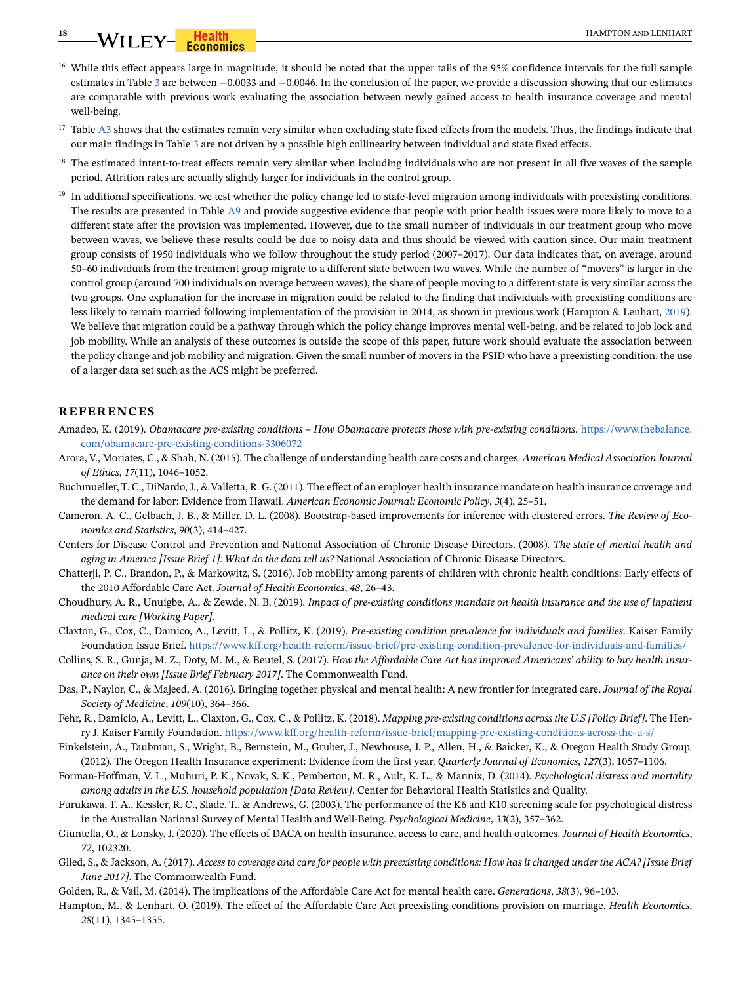# **18 WILEY- Health Economics Experiment CONFERENT <b>EXPLOSE CONFERENT**

- <span id="page-17-16"></span><sup>16</sup> While this effect appears large in magnitude, it should be noted that the upper tails of the 95% confidence intervals for the full sample estimates in Table [3](#page-10-0) are between −0.0033 and −0.0046. In the conclusion of the paper, we provide a discussion showing that our estimates are comparable with previous work evaluating the association between newly gained access to health insurance coverage and mental well-being.
- <span id="page-17-17"></span><sup>17</sup> Table A3 shows that the estimates remain very similar when excluding state fixed effects from the models. Thus, the findings indicate that our main findings in Table [3](#page-10-0) are not driven by a possible high collinearity between individual and state fixed effects.
- <span id="page-17-19"></span><sup>18</sup> The estimated intent-to-treat effects remain very similar when including individuals who are not present in all five waves of the sample period. Attrition rates are actually slightly larger for individuals in the control group.
- <span id="page-17-20"></span> $<sup>19</sup>$  In additional specifications, we test whether the policy change led to state-level migration among individuals with preexisting conditions.</sup> The results are presented in Table A9 and provide suggestive evidence that people with prior health issues were more likely to move to a different state after the provision was implemented. However, due to the small number of individuals in our treatment group who move between waves, we believe these results could be due to noisy data and thus should be viewed with caution since. Our main treatment group consists of 1950 individuals who we follow throughout the study period (2007–2017). Our data indicates that, on average, around 50–60 individuals from the treatment group migrate to a different state between two waves. While the number of "movers" is larger in the control group (around 700 individuals on average between waves), the share of people moving to a different state is very similar across the two groups. One explanation for the increase in migration could be related to the finding that individuals with preexisting conditions are less likely to remain married following implementation of the provision in 2014, as shown in previous work (Hampton & Lenhart, [2019](#page-17-8)). We believe that migration could be a pathway through which the policy change improves mental well-being, and be related to job lock and job mobility. While an analysis of these outcomes is outside the scope of this paper, future work should evaluate the association between the policy change and job mobility and migration. Given the small number of movers in the PSID who have a preexisting condition, the use of a larger data set such as the ACS might be preferred.

## **REFERENCES**

- <span id="page-17-1"></span>Amadeo, K. (2019). *Obamacare pre-existing conditions – How Obamacare protects those with pre-existing conditions*. [https://www.thebalance.](https://www.thebalance.com/obamacare-pre-existing-conditions-3306072) [com/obamacare-pre-existing-conditions-3306072](https://www.thebalance.com/obamacare-pre-existing-conditions-3306072)
- <span id="page-17-18"></span>Arora, V., Moriates, C., & Shah, N. (2015). The challenge of understanding health care costs and charges. *American Medical Association Journal of Ethics*, *17*(11), 1046–1052.
- <span id="page-17-9"></span>Buchmueller, T. C., DiNardo, J., & Valletta, R. G. (2011). The effect of an employer health insurance mandate on health insurance coverage and the demand for labor: Evidence from Hawaii. *American Economic Journal: Economic Policy*, *3*(4), 25–51.
- <span id="page-17-15"></span>Cameron, A. C., Gelbach, J. B., & Miller, D. L. (2008). Bootstrap-based improvements for inference with clustered errors. *The Review of Economics and Statistics*, *90*(3), 414–427.
- <span id="page-17-10"></span>Centers for Disease Control and Prevention and National Association of Chronic Disease Directors. (2008). *The state of mental health and aging in America [Issue Brief 1]: What do the data tell us?* National Association of Chronic Disease Directors.
- <span id="page-17-6"></span>Chatterji, P. C., Brandon, P., & Markowitz, S. (2016). Job mobility among parents of children with chronic health conditions: Early effects of the 2010 Affordable Care Act. *Journal of Health Economics*, *48*, 26–43.
- <span id="page-17-7"></span>Choudhury, A. R., Unuigbe, A., & Zewde, N. B. (2019). *Impact of pre-existing conditions mandate on health insurance and the use of inpatient medical care [Working Paper]*.
- <span id="page-17-0"></span>Claxton, G., Cox, C., Damico, A., Levitt, L., & Pollitz, K. (2019). *Pre-existing condition prevalence for individuals and families*. Kaiser Family Foundation Issue Brief.<https://www.kff.org/health-reform/issue-brief/pre-existing-condition-prevalence-for-individuals-and-families/>
- <span id="page-17-2"></span>Collins, S. R., Gunja, M. Z., Doty, M. M., & Beutel, S. (2017). *How the Affordable Care Act has improved Americans' ability to buy health insurance on their own [Issue Brief February 2017]*. The Commonwealth Fund.
- <span id="page-17-5"></span>Das, P., Naylor, C., & Majeed, A. (2016). Bringing together physical and mental health: A new frontier for integrated care. *Journal of the Royal Society of Medicine*, *109*(10), 364–366.
- <span id="page-17-14"></span>Fehr, R., Damicio, A., Levitt, L., Claxton, G., Cox, C., & Pollitz, K. (2018). *Mapping pre-existing conditions across the U.S [Policy Brief]*. The Henry J. Kaiser Family Foundation. <https://www.kff.org/health-reform/issue-brief/mapping-pre-existing-conditions-across-the-u-s/>
- <span id="page-17-4"></span>Finkelstein, A., Taubman, S., Wright, B., Bernstein, M., Gruber, J., Newhouse, J. P., Allen, H., & Baicker, K., & Oregon Health Study Group. (2012). The Oregon Health Insurance experiment: Evidence from the first year. *Quarterly Journal of Economics*, *127*(3), 1057–1106.
- <span id="page-17-12"></span>Forman-Hoffman, V. L., Muhuri, P. K., Novak, S. K., Pemberton, M. R., Ault, K. L., & Mannix, D. (2014). *Psychological distress and mortality among adults in the U.S. household population [Data Review]*. Center for Behavioral Health Statistics and Quality.
- <span id="page-17-13"></span>Furukawa, T. A., Kessler, R. C., Slade, T., & Andrews, G. (2003). The performance of the K6 and K10 screening scale for psychological distress in the Australian National Survey of Mental Health and Well-Being. *Psychological Medicine*, *33*(2), 357–362.
- <span id="page-17-21"></span>Giuntella, O., & Lonsky, J. (2020). The effects of DACA on health insurance, access to care, and health outcomes. *Journal of Health Economics*, *72*, 102320.
- <span id="page-17-3"></span>Glied, S., & Jackson, A. (2017). *Access to coverage and care for people with preexisting conditions: How has it changed under the ACA? [Issue Brief June 2017]*. The Commonwealth Fund.
- <span id="page-17-11"></span>Golden, R., & Vail, M. (2014). The implications of the Affordable Care Act for mental health care. *Generations*, *38*(3), 96–103.
- <span id="page-17-8"></span>Hampton, M., & Lenhart, O. (2019). The effect of the Affordable Care Act preexisting conditions provision on marriage. *Health Economics*, *28*(11), 1345–1355.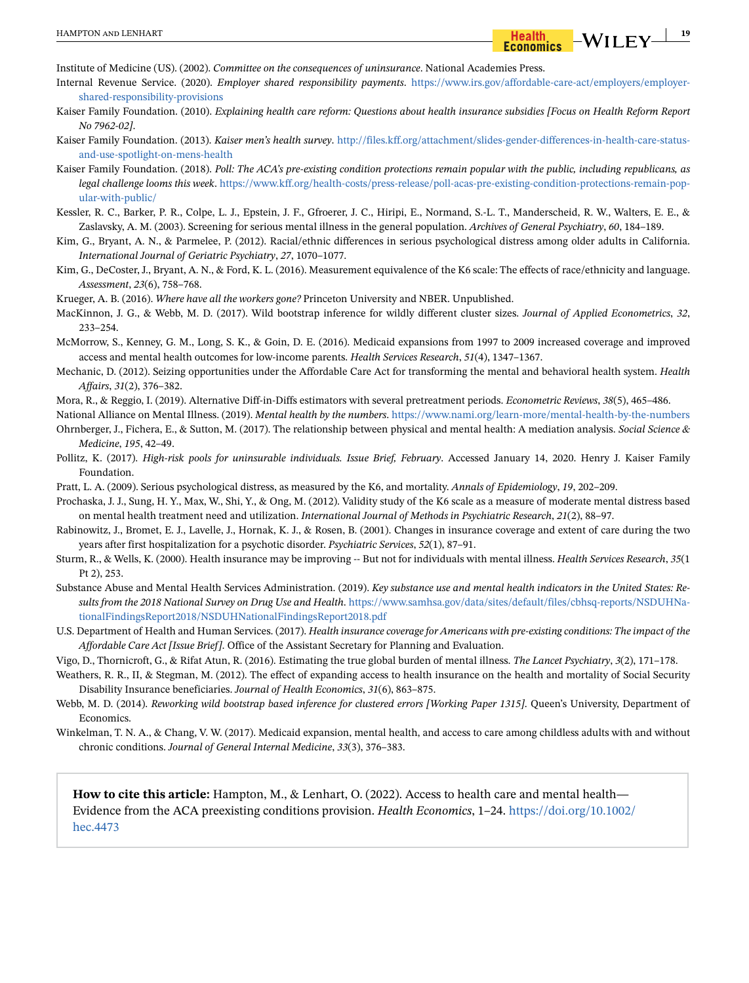<span id="page-18-10"></span>Institute of Medicine (US). (2002). *Committee on the consequences of uninsurance*. National Academies Press.

- <span id="page-18-7"></span>Internal Revenue Service. (2020). *Employer shared responsibility payments*. [https://www.irs.gov/affordable-care-act/employers/employer](https://www.irs.gov/affordable-care-act/employers/employer-shared-responsibility-provisions)[shared-responsibility-provisions](https://www.irs.gov/affordable-care-act/employers/employer-shared-responsibility-provisions)
- <span id="page-18-8"></span>Kaiser Family Foundation. (2010). *Explaining health care reform: Questions about health insurance subsidies [Focus on Health Reform Report No 7962-02]*.
- <span id="page-18-19"></span>Kaiser Family Foundation. (2013). *Kaiser men's health survey*. [http://files.kff.org/attachment/slides-gender-differences-in-health-care-status](http://files.kff.org/attachment/slides-gender-differences-in-health-care-status-and-use-spotlight-on-mens-health)[and-use-spotlight-on-mens-health](http://files.kff.org/attachment/slides-gender-differences-in-health-care-status-and-use-spotlight-on-mens-health)
- <span id="page-18-5"></span>Kaiser Family Foundation. (2018). *Poll: The ACA's pre-existing condition protections remain popular with the public, including republicans, as legal challenge looms this week*. [https://www.kff.org/health-costs/press-release/poll-acas-pre-existing-condition-protections-remain-pop](https://www.kff.org/health-costs/press-release/poll-acas-pre-existing-condition-protections-remain-popular-with-public/)[ular-with-public/](https://www.kff.org/health-costs/press-release/poll-acas-pre-existing-condition-protections-remain-popular-with-public/)
- <span id="page-18-14"></span>Kessler, R. C., Barker, P. R., Colpe, L. J., Epstein, J. F., Gfroerer, J. C., Hiripi, E., Normand, S.-L. T., Manderscheid, R. W., Walters, E. E., & Zaslavsky, A. M. (2003). Screening for serious mental illness in the general population. *Archives of General Psychiatry*, *60*, 184–189.
- <span id="page-18-16"></span>Kim, G., Bryant, A. N., & Parmelee, P. (2012). Racial/ethnic differences in serious psychological distress among older adults in California. *International Journal of Geriatric Psychiatry*, *27*, 1070–1077.
- <span id="page-18-15"></span>Kim, G., DeCoster, J., Bryant, A. N., & Ford, K. L. (2016). Measurement equivalence of the K6 scale: The effects of race/ethnicity and language. *Assessment*, *23*(6), 758–768.

<span id="page-18-1"></span>Krueger, A. B. (2016). *Where have all the workers gone?* Princeton University and NBER. Unpublished.

- <span id="page-18-22"></span>MacKinnon, J. G., & Webb, M. D. (2017). Wild bootstrap inference for wildly different cluster sizes. *Journal of Applied Econometrics*, *32*, 233–254.
- <span id="page-18-23"></span>McMorrow, S., Kenney, G. M., Long, S. K., & Goin, D. E. (2016). Medicaid expansions from 1997 to 2009 increased coverage and improved access and mental health outcomes for low-income parents. *Health Services Research*, *51*(4), 1347–1367.
- <span id="page-18-13"></span>Mechanic, D. (2012). Seizing opportunities under the Affordable Care Act for transforming the mental and behavioral health system. *Health Affairs*, *31*(2), 376–382.
- <span id="page-18-20"></span>Mora, R., & Reggio, I. (2019). Alternative Diff-in-Diffs estimators with several pretreatment periods. *Econometric Reviews*, *38*(5), 465–486.
- <span id="page-18-2"></span>National Alliance on Mental Illness. (2019). *Mental health by the numbers*.<https://www.nami.org/learn-more/mental-health-by-the-numbers>
- <span id="page-18-4"></span>Ohrnberger, J., Fichera, E., & Sutton, M. (2017). The relationship between physical and mental health: A mediation analysis. *Social Science & Medicine*, *195*, 42–49.
- <span id="page-18-6"></span>Pollitz, K. (2017). *High-risk pools for uninsurable individuals. Issue Brief, February*. Accessed January 14, 2020. Henry J. Kaiser Family Foundation.
- <span id="page-18-17"></span>Pratt, L. A. (2009). Serious psychological distress, as measured by the K6, and mortality. *Annals of Epidemiology*, *19*, 202–209.
- <span id="page-18-18"></span>Prochaska, J. J., Sung, H. Y., Max, W., Shi, Y., & Ong, M. (2012). Validity study of the K6 scale as a measure of moderate mental distress based on mental health treatment need and utilization. *International Journal of Methods in Psychiatric Research*, *21*(2), 88–97.
- <span id="page-18-12"></span>Rabinowitz, J., Bromet, E. J., Lavelle, J., Hornak, K. J., & Rosen, B. (2001). Changes in insurance coverage and extent of care during the two years after first hospitalization for a psychotic disorder. *Psychiatric Services*, *52*(1), 87–91.
- <span id="page-18-11"></span>Sturm, R., & Wells, K. (2000). Health insurance may be improving -- But not for individuals with mental illness. *Health Services Research*, *35*(1 Pt 2), 253.
- <span id="page-18-0"></span>Substance Abuse and Mental Health Services Administration. (2019). *Key substance use and mental health indicators in the United States: Results from the 2018 National Survey on Drug Use and Health*. [https://www.samhsa.gov/data/sites/default/files/cbhsq-reports/NSDUHNa](https://www.samhsa.gov/data/sites/default/files/cbhsq-reports/NSDUHNationalFindingsReport2018/NSDUHNationalFindingsReport2018.pdf)[tionalFindingsReport2018/NSDUHNationalFindingsReport2018.pdf](https://www.samhsa.gov/data/sites/default/files/cbhsq-reports/NSDUHNationalFindingsReport2018/NSDUHNationalFindingsReport2018.pdf)
- <span id="page-18-3"></span>U.S. Department of Health and Human Services. (2017). *Health insurance coverage for Americans with pre-existing conditions: The impact of the Affordable Care Act [Issue Brief]*. Office of the Assistant Secretary for Planning and Evaluation.
- <span id="page-18-9"></span>Vigo, D., Thornicroft, G., & Rifat Atun, R. (2016). Estimating the true global burden of mental illness. *The Lancet Psychiatry*, *3*(2), 171–178.
- <span id="page-18-25"></span>Weathers, R. R., II, & Stegman, M. (2012). The effect of expanding access to health insurance on the health and mortality of Social Security Disability Insurance beneficiaries. *Journal of Health Economics*, *31*(6), 863–875.
- <span id="page-18-21"></span>Webb, M. D. (2014). *Reworking wild bootstrap based inference for clustered errors [Working Paper 1315]*. Queen's University, Department of Economics.
- <span id="page-18-24"></span>Winkelman, T. N. A., & Chang, V. W. (2017). Medicaid expansion, mental health, and access to care among childless adults with and without chronic conditions. *Journal of General Internal Medicine*, *33*(3), 376–383.

**How to cite this article:** Hampton, M., & Lenhart, O. (2022). Access to health care and mental health— Evidence from the ACA preexisting conditions provision. *Health Economics*, 1–24. https://doi.org/10.1002/ hec.4473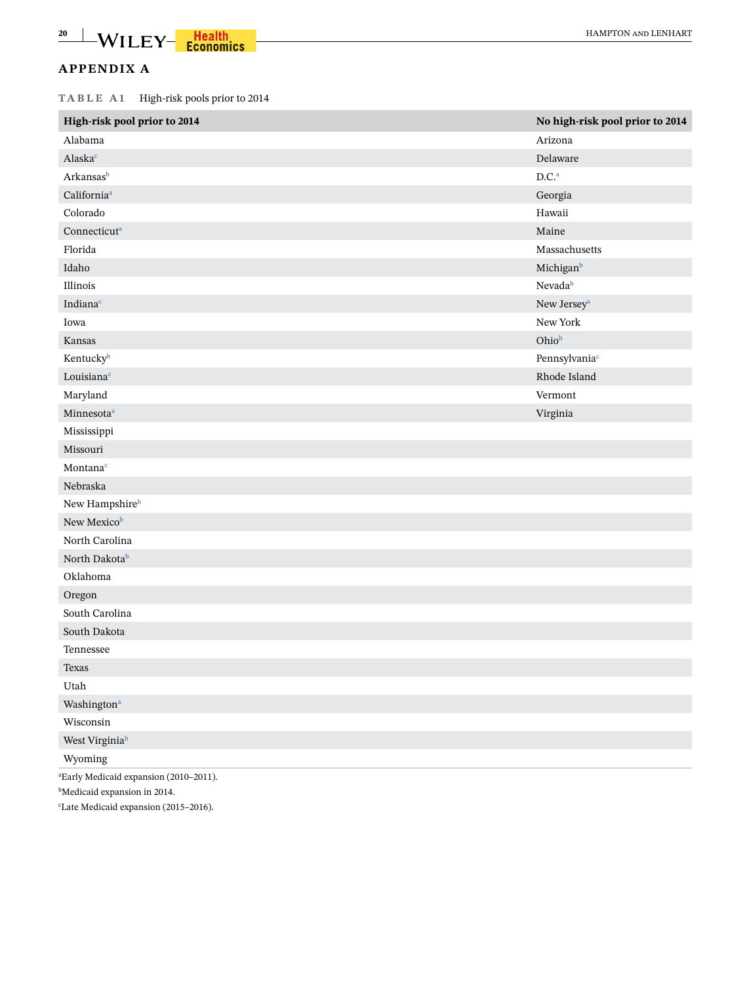# **APPENDIX A**

**TABLE A1** High-risk pools prior to 2014

| High-risk pool prior to 2014                       | No high-risk pool prior to 2014 |
|----------------------------------------------------|---------------------------------|
| Alabama                                            | Arizona                         |
| Alaska <sup>c</sup>                                | Delaware                        |
| Arkansasb                                          | D.C. <sup>a</sup>               |
| California <sup>a</sup>                            | Georgia                         |
| Colorado                                           | Hawaii                          |
| Connecticut <sup>a</sup>                           | Maine                           |
| Florida                                            | Massachusetts                   |
| Idaho                                              | Michigan <sup>b</sup>           |
| Illinois                                           | Nevada <sup>b</sup>             |
| Indiana <sup>c</sup>                               | New Jersey<br>a $\,$            |
| Iowa                                               | New York                        |
| Kansas                                             | Ohiob                           |
| Kentuckyb                                          | Pennsylvania <sup>c</sup>       |
| Louisiana <sup>c</sup>                             | Rhode Island                    |
| Maryland                                           | Vermont                         |
| Minnesota <sup>a</sup>                             | Virginia                        |
| Mississippi                                        |                                 |
| Missouri                                           |                                 |
| Montana <sup>c</sup>                               |                                 |
| Nebraska                                           |                                 |
| New Hampshireb                                     |                                 |
| New Mexicob                                        |                                 |
| North Carolina                                     |                                 |
| North Dakotab                                      |                                 |
| Oklahoma                                           |                                 |
| Oregon                                             |                                 |
| South Carolina                                     |                                 |
| South Dakota                                       |                                 |
| Tennessee                                          |                                 |
| Texas                                              |                                 |
| Utah                                               |                                 |
| Washington <sup>a</sup>                            |                                 |
| Wisconsin                                          |                                 |
| West Virginia <sup>b</sup>                         |                                 |
| Wyoming                                            |                                 |
| <sup>a</sup> Early Medicaid expansion (2010-2011). |                                 |

<span id="page-19-2"></span><span id="page-19-1"></span>b Medicaid expansion in 2014.

<span id="page-19-0"></span>c Late Medicaid expansion (2015–2016).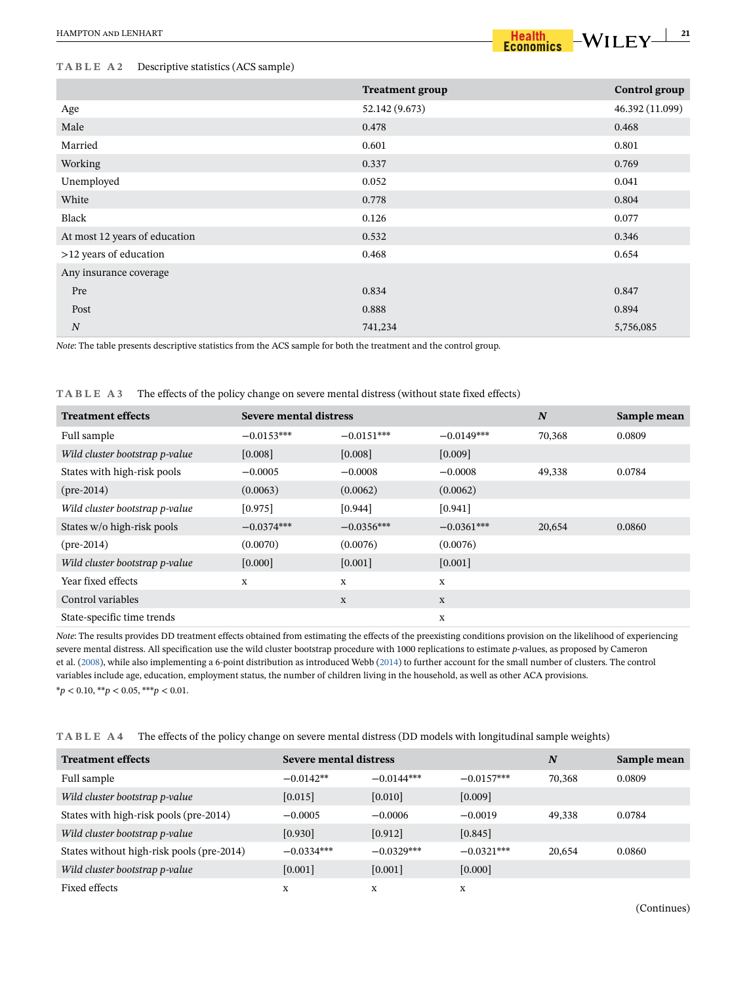#### **TABLE A2** Descriptive statistics (ACS sample)

|                               | <b>Treatment group</b> | <b>Control</b> group |
|-------------------------------|------------------------|----------------------|
| Age                           | 52.142 (9.673)         | 46.392 (11.099)      |
| Male                          | 0.478                  | 0.468                |
| Married                       | 0.601                  | 0.801                |
| Working                       | 0.337                  | 0.769                |
| Unemployed                    | 0.052                  | 0.041                |
| White                         | 0.778                  | 0.804                |
| Black                         | 0.126                  | 0.077                |
| At most 12 years of education | 0.532                  | 0.346                |
| >12 years of education        | 0.468                  | 0.654                |
| Any insurance coverage        |                        |                      |
| Pre                           | 0.834                  | 0.847                |
| Post                          | 0.888                  | 0.894                |
| $\cal N$                      | 741,234                | 5,756,085            |

*Note*: The table presents descriptive statistics from the ACS sample for both the treatment and the control group.

#### **TABLE A3** The effects of the policy change on severe mental distress (without state fixed effects)

| <b>Treatment effects</b>       | Severe mental distress |              |              | N      | Sample mean |
|--------------------------------|------------------------|--------------|--------------|--------|-------------|
| Full sample                    | $-0.0153***$           | $-0.0151***$ | $-0.0149***$ | 70,368 | 0.0809      |
| Wild cluster bootstrap p-value | [0.008]                | [0.008]      | [0.009]      |        |             |
| States with high-risk pools    | $-0.0005$              | $-0.0008$    | $-0.0008$    | 49.338 | 0.0784      |
| $(\text{pre-}2014)$            | (0.0063)               | (0.0062)     | (0.0062)     |        |             |
| Wild cluster bootstrap p-value | [0.975]                | [0.944]      | [0.941]      |        |             |
| States w/o high-risk pools     | $-0.0374***$           | $-0.0356***$ | $-0.0361***$ | 20,654 | 0.0860      |
| $(\text{pre-}2014)$            | (0.0070)               | (0.0076)     | (0.0076)     |        |             |
| Wild cluster bootstrap p-value | [0.000]                | [0.001]      | [0.001]      |        |             |
| Year fixed effects             | X                      | X            | $\mathbf X$  |        |             |
| Control variables              |                        | X            | $\mathbf X$  |        |             |
| State-specific time trends     |                        |              | X            |        |             |

*Note*: The results provides DD treatment effects obtained from estimating the effects of the preexisting conditions provision on the likelihood of experiencing severe mental distress. All specification use the wild cluster bootstrap procedure with 1000 replications to estimate *p*-values, as proposed by Cameron et al. ([2008](#page-17-15)), while also implementing a 6-point distribution as introduced Webb ([2014\)](#page-18-21) to further account for the small number of clusters. The control variables include age, education, employment status, the number of children living in the household, as well as other ACA provisions. \**p* < 0.10, \*\**p* < 0.05, \*\*\**p* < 0.01.

**TABLE A4** The effects of the policy change on severe mental distress (DD models with longitudinal sample weights)

| <b>Treatment effects</b>                  | Severe mental distress |              |              | N      | Sample mean |
|-------------------------------------------|------------------------|--------------|--------------|--------|-------------|
| Full sample                               | $-0.0142**$            | $-0.0144***$ | $-0.0157***$ | 70.368 | 0.0809      |
| Wild cluster bootstrap p-value            | [0.015]                | [0.010]      | [0.009]      |        |             |
| States with high-risk pools (pre-2014)    | $-0.0005$              | $-0.0006$    | $-0.0019$    | 49,338 | 0.0784      |
| Wild cluster bootstrap p-value            | [0.930]                | [0.912]      | [0.845]      |        |             |
| States without high-risk pools (pre-2014) | $-0.0334***$           | $-0.0329***$ | $-0.0321***$ | 20,654 | 0.0860      |
| Wild cluster bootstrap p-value            | [0.001]                | [0.001]      | [0.000]      |        |             |
| Fixed effects                             | X                      | X            | X            |        |             |

(Continues)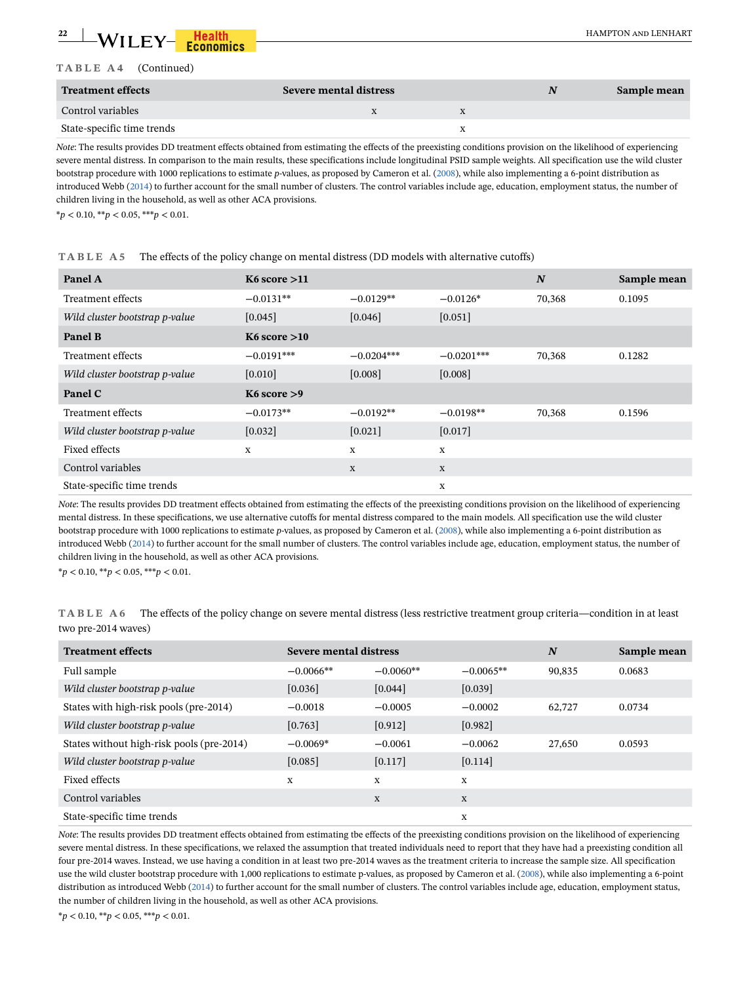#### **TABLE A4** (Continued)

| <b>Treatment effects</b>   | Severe mental distress | N | Sample mean |
|----------------------------|------------------------|---|-------------|
| Control variables          |                        |   |             |
| State-specific time trends |                        |   |             |

*Note*: The results provides DD treatment effects obtained from estimating the effects of the preexisting conditions provision on the likelihood of experiencing severe mental distress. In comparison to the main results, these specifications include longitudinal PSID sample weights. All specification use the wild cluster bootstrap procedure with 1000 replications to estimate *p*-values, as proposed by Cameron et al. [\(2008](#page-17-15)), while also implementing a 6-point distribution as introduced Webb [\(2014](#page-18-21)) to further account for the small number of clusters. The control variables include age, education, employment status, the number of children living in the household, as well as other ACA provisions.

\**p* < 0.10, \*\**p* < 0.05, \*\*\**p* < 0.01.

| Panel A                        | K6 score $>11$            |              |              | N      | Sample mean |
|--------------------------------|---------------------------|--------------|--------------|--------|-------------|
| Treatment effects              | $-0.0131**$               | $-0.0129**$  | $-0.0126*$   | 70,368 | 0.1095      |
| Wild cluster bootstrap p-value | [0.045]                   | [0.046]      | [0.051]      |        |             |
| Panel B                        | $K6$ score $>10$          |              |              |        |             |
| Treatment effects              | $-0.0191***$              | $-0.0204***$ | $-0.0201***$ | 70,368 | 0.1282      |
| Wild cluster bootstrap p-value | $[0.010]$                 | [0.008]      | [0.008]      |        |             |
| Panel C                        | K <sub>6</sub> score $>9$ |              |              |        |             |
| Treatment effects              | $-0.0173**$               | $-0.0192**$  | $-0.0198**$  | 70,368 | 0.1596      |
| Wild cluster bootstrap p-value | [0.032]                   | [0.021]      | [0.017]      |        |             |
| Fixed effects                  | $\mathbf x$               | X            | $\mathbf X$  |        |             |
| Control variables              |                           | X            | $\mathbf X$  |        |             |
| State-specific time trends     |                           |              | $\mathbf X$  |        |             |

#### **TABLE A5** The effects of the policy change on mental distress (DD models with alternative cutoffs)

*Note*: The results provides DD treatment effects obtained from estimating the effects of the preexisting conditions provision on the likelihood of experiencing mental distress. In these specifications, we use alternative cutoffs for mental distress compared to the main models. All specification use the wild cluster bootstrap procedure with 1000 replications to estimate *p*-values, as proposed by Cameron et al. ([2008\)](#page-17-15), while also implementing a 6-point distribution as introduced Webb [\(2014\)](#page-18-21) to further account for the small number of clusters. The control variables include age, education, employment status, the number of children living in the household, as well as other ACA provisions.

\**p* < 0.10, \*\**p* < 0.05, \*\*\**p* < 0.01.

|                     | TABLE A6 The effects of the policy change on severe mental distress (less restrictive treatment group criteria—condition in at least |
|---------------------|--------------------------------------------------------------------------------------------------------------------------------------|
| two pre-2014 waves) |                                                                                                                                      |

| <b>Treatment effects</b>                  | Severe mental distress |             |             | N      | Sample mean |
|-------------------------------------------|------------------------|-------------|-------------|--------|-------------|
| Full sample                               | $-0.0066**$            | $-0.0060**$ | $-0.0065**$ | 90,835 | 0.0683      |
| Wild cluster bootstrap p-value            | [0.036]                | [0.044]     | [0.039]     |        |             |
| States with high-risk pools (pre-2014)    | $-0.0018$              | $-0.0005$   | $-0.0002$   | 62,727 | 0.0734      |
| Wild cluster bootstrap p-value            | [0.763]                | [0.912]     | [0.982]     |        |             |
| States without high-risk pools (pre-2014) | $-0.0069*$             | $-0.0061$   | $-0.0062$   | 27,650 | 0.0593      |
| Wild cluster bootstrap p-value            | $[0.085]$              | [0.117]     | [0.114]     |        |             |
| Fixed effects                             | X                      | X           | X           |        |             |
| Control variables                         |                        | $\mathbf X$ | X           |        |             |
| State-specific time trends                |                        |             | X           |        |             |

*Note*: The results provides DD treatment effects obtained from estimating tbe effects of the preexisting conditions provision on the likelihood of experiencing severe mental distress. In these specifications, we relaxed the assumption that treated individuals need to report that they have had a preexisting condition all four pre-2014 waves. Instead, we use having a condition in at least two pre-2014 waves as the treatment criteria to increase the sample size. All specification use the wild cluster bootstrap procedure with 1,000 replications to estimate p-values, as proposed by Cameron et al. [\(2008\)](#page-17-15), while also implementing a 6-point distribution as introduced Webb [\(2014](#page-18-21)) to further account for the small number of clusters. The control variables include age, education, employment status, the number of children living in the household, as well as other ACA provisions.

\**p* < 0.10, \*\**p* < 0.05, \*\*\**p* < 0.01.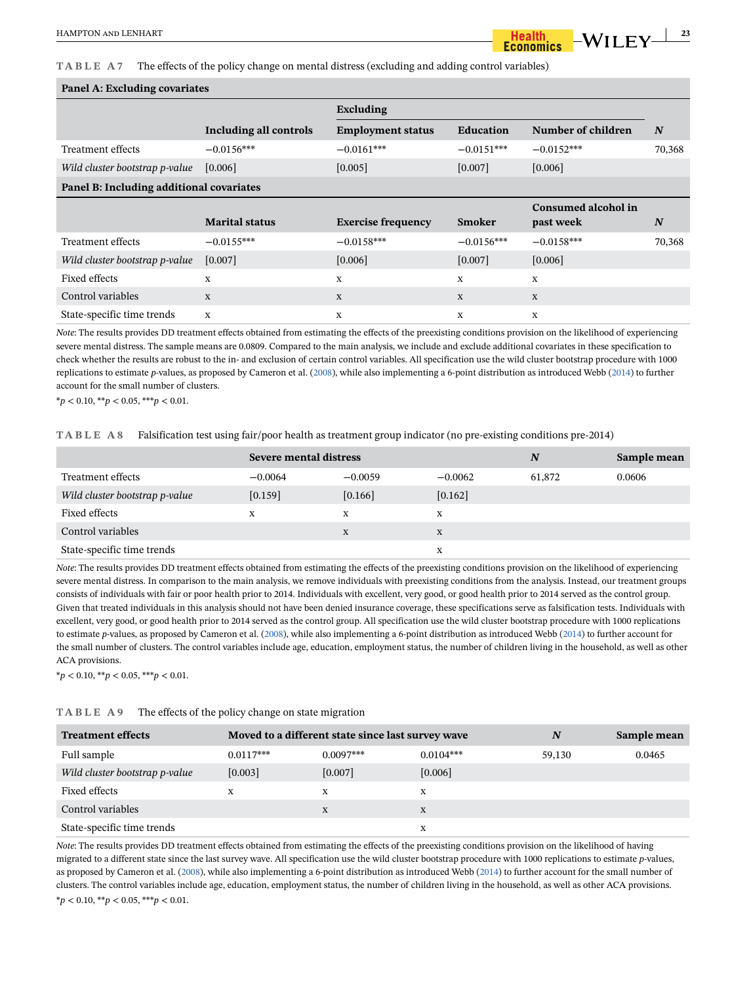**TABLE A7** The effects of the policy change on mental distress (excluding and adding control variables)

#### **Panel A: Excluding covariates**

| $\sim$ which is a microwantly covering s |                               |                           |                  |                     |        |
|------------------------------------------|-------------------------------|---------------------------|------------------|---------------------|--------|
|                                          |                               | Excluding                 |                  |                     |        |
|                                          | <b>Including all controls</b> | <b>Employment status</b>  | <b>Education</b> | Number of children  | N      |
| Treatment effects                        | $-0.0156***$                  | $-0.0161***$              | $-0.0151***$     | $-0.0152***$        | 70,368 |
| Wild cluster bootstrap p-value           | [0.006]                       | [0.005]                   | [0.007]          | [0.006]             |        |
| Panel B: Including additional covariates |                               |                           |                  |                     |        |
|                                          |                               |                           |                  | Consumed alcohol in |        |
|                                          | <b>Marital status</b>         | <b>Exercise frequency</b> | Smoker           | past week           | N      |
| Treatment effects                        | $-0.0155***$                  | $-0.0158***$              | $-0.0156***$     | $-0.0158***$        | 70,368 |
| Wild cluster bootstrap p-value           | $[0.007]$                     | [0.006]                   | [0.007]          | [0.006]             |        |
| Fixed effects                            | X                             | X                         | X                | X                   |        |
| Control variables                        | X                             | X                         | X                | X                   |        |
| State-specific time trends               | X                             | X                         | $\mathbf X$      | X                   |        |

*Note*: The results provides DD treatment effects obtained from estimating the effects of the preexisting conditions provision on the likelihood of experiencing severe mental distress. The sample means are 0.0809. Compared to the main analysis, we include and exclude additional covariates in these specification to check whether the results are robust to the in- and exclusion of certain control variables. All specification use the wild cluster bootstrap procedure with 1000 replications to estimate *p*-values, as proposed by Cameron et al. [\(2008](#page-17-15)), while also implementing a 6-point distribution as introduced Webb ([2014](#page-18-21)) to further account for the small number of clusters.

\**p* < 0.10, \*\**p* < 0.05, \*\*\**p* < 0.01.

**TABLE A8** Falsification test using fair/poor health as treatment group indicator (no pre-existing conditions pre-2014)

|                                | Severe mental distress |           |           | N      | Sample mean |
|--------------------------------|------------------------|-----------|-----------|--------|-------------|
| Treatment effects              | $-0.0064$              | $-0.0059$ | $-0.0062$ | 61,872 | 0.0606      |
| Wild cluster bootstrap p-value | $[0.159]$              | [0.166]   | $[0.162]$ |        |             |
| Fixed effects                  | X                      | X         | X         |        |             |
| Control variables              |                        | X         | X         |        |             |
| State-specific time trends     |                        |           | X         |        |             |

*Note*: The results provides DD treatment effects obtained from estimating the effects of the preexisting conditions provision on the likelihood of experiencing severe mental distress. In comparison to the main analysis, we remove individuals with preexisting conditions from the analysis. Instead, our treatment groups consists of individuals with fair or poor health prior to 2014. Individuals with excellent, very good, or good health prior to 2014 served as the control group. Given that treated individuals in this analysis should not have been denied insurance coverage, these specifications serve as falsification tests. Individuals with excellent, very good, or good health prior to 2014 served as the control group. All specification use the wild cluster bootstrap procedure with 1000 replications to estimate *p*-values, as proposed by Cameron et al. [\(2008](#page-17-15)), while also implementing a 6-point distribution as introduced Webb ([2014](#page-18-21)) to further account for the small number of clusters. The control variables include age, education, employment status, the number of children living in the household, as well as other ACA provisions.

\**p* < 0.10, \*\**p* < 0.05, \*\*\**p* < 0.01.

| TABLE A9 |  |  |  | The effects of the policy change on state migration |
|----------|--|--|--|-----------------------------------------------------|
|----------|--|--|--|-----------------------------------------------------|

| <b>Treatment effects</b>       | Moved to a different state since last survey wave |             | N           | Sample mean |        |
|--------------------------------|---------------------------------------------------|-------------|-------------|-------------|--------|
| Full sample                    | $0.0117***$                                       | $0.0097***$ | $0.0104***$ | 59,130      | 0.0465 |
| Wild cluster bootstrap p-value | [0.003]                                           | [0.007]     | $[0.006]$   |             |        |
| Fixed effects                  | X                                                 | X           | X           |             |        |
| Control variables              |                                                   | X           | X           |             |        |
| State-specific time trends     |                                                   |             | x           |             |        |

*Note*: The results provides DD treatment effects obtained from estimating the effects of the preexisting conditions provision on the likelihood of having migrated to a different state since the last survey wave. All specification use the wild cluster bootstrap procedure with 1000 replications to estimate *p*-values, as proposed by Cameron et al. [\(2008](#page-17-15)), while also implementing a 6-point distribution as introduced Webb ([2014](#page-18-21)) to further account for the small number of clusters. The control variables include age, education, employment status, the number of children living in the household, as well as other ACA provisions. \**p* < 0.10, \*\**p* < 0.05, \*\*\**p* < 0.01.